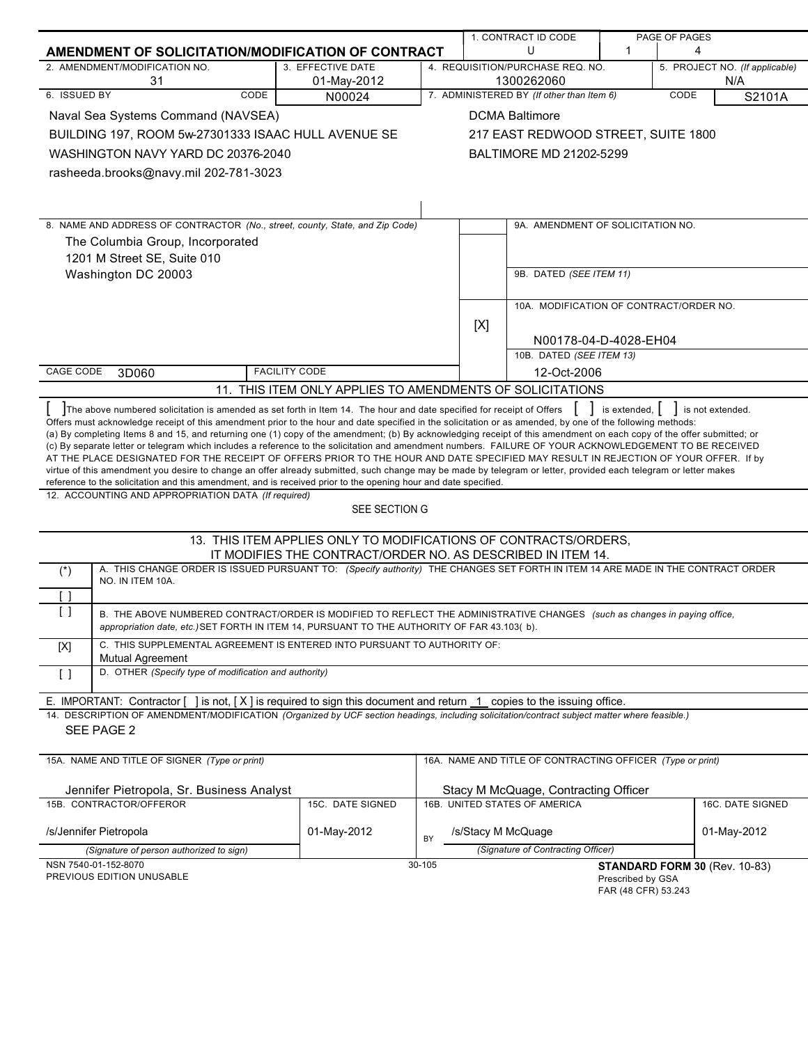|                                                                                                                                                                                                                                                                                                |                                                                                                                                 |        |     | 1. CONTRACT ID CODE                                        |                      | PAGE OF PAGES                  |
|------------------------------------------------------------------------------------------------------------------------------------------------------------------------------------------------------------------------------------------------------------------------------------------------|---------------------------------------------------------------------------------------------------------------------------------|--------|-----|------------------------------------------------------------|----------------------|--------------------------------|
| AMENDMENT OF SOLICITATION/MODIFICATION OF CONTRACT                                                                                                                                                                                                                                             |                                                                                                                                 |        |     | U                                                          | 1                    | 4                              |
| 2. AMENDMENT/MODIFICATION NO.<br>31                                                                                                                                                                                                                                                            | 3. EFFECTIVE DATE                                                                                                               |        |     | 4. REQUISITION/PURCHASE REQ. NO.<br>1300262060             |                      | 5. PROJECT NO. (If applicable) |
| 6. ISSUED BY<br>CODE                                                                                                                                                                                                                                                                           | 01-May-2012<br>N00024                                                                                                           |        |     | 7. ADMINISTERED BY (If other than Item 6)                  |                      | N/A<br>CODE<br>S2101A          |
| Naval Sea Systems Command (NAVSEA)                                                                                                                                                                                                                                                             |                                                                                                                                 |        |     | <b>DCMA Baltimore</b>                                      |                      |                                |
| BUILDING 197, ROOM 5w-27301333 ISAAC HULL AVENUE SE                                                                                                                                                                                                                                            |                                                                                                                                 |        |     |                                                            |                      |                                |
|                                                                                                                                                                                                                                                                                                |                                                                                                                                 |        |     | 217 EAST REDWOOD STREET, SUITE 1800                        |                      |                                |
| WASHINGTON NAVY YARD DC 20376-2040                                                                                                                                                                                                                                                             |                                                                                                                                 |        |     | BALTIMORE MD 21202-5299                                    |                      |                                |
| rasheeda.brooks@navy.mil 202-781-3023                                                                                                                                                                                                                                                          |                                                                                                                                 |        |     |                                                            |                      |                                |
|                                                                                                                                                                                                                                                                                                |                                                                                                                                 |        |     |                                                            |                      |                                |
| 8. NAME AND ADDRESS OF CONTRACTOR (No., street, county, State, and Zip Code)                                                                                                                                                                                                                   |                                                                                                                                 |        |     | 9A. AMENDMENT OF SOLICITATION NO.                          |                      |                                |
| The Columbia Group, Incorporated                                                                                                                                                                                                                                                               |                                                                                                                                 |        |     |                                                            |                      |                                |
| 1201 M Street SE, Suite 010                                                                                                                                                                                                                                                                    |                                                                                                                                 |        |     |                                                            |                      |                                |
| Washington DC 20003                                                                                                                                                                                                                                                                            |                                                                                                                                 |        |     | 9B. DATED (SEE ITEM 11)                                    |                      |                                |
|                                                                                                                                                                                                                                                                                                |                                                                                                                                 |        |     |                                                            |                      |                                |
|                                                                                                                                                                                                                                                                                                |                                                                                                                                 |        |     | 10A. MODIFICATION OF CONTRACT/ORDER NO.                    |                      |                                |
|                                                                                                                                                                                                                                                                                                |                                                                                                                                 |        | [X] |                                                            |                      |                                |
|                                                                                                                                                                                                                                                                                                |                                                                                                                                 |        |     | N00178-04-D-4028-EH04<br>10B. DATED (SEE ITEM 13)          |                      |                                |
| CAGE CODE<br>3D060                                                                                                                                                                                                                                                                             | <b>FACILITY CODE</b>                                                                                                            |        |     | 12-Oct-2006                                                |                      |                                |
|                                                                                                                                                                                                                                                                                                | 11. THIS ITEM ONLY APPLIES TO AMENDMENTS OF SOLICITATIONS                                                                       |        |     |                                                            |                      |                                |
|                                                                                                                                                                                                                                                                                                |                                                                                                                                 |        |     |                                                            |                      |                                |
| The above numbered solicitation is amended as set forth in Item 14. The hour and date specified for receipt of Offers<br>Offers must acknowledge receipt of this amendment prior to the hour and date specified in the solicitation or as amended, by one of the following methods:            |                                                                                                                                 |        |     |                                                            | is extended, $\vert$ | is not extended.               |
| (a) By completing Items 8 and 15, and returning one (1) copy of the amendment; (b) By acknowledging receipt of this amendment on each copy of the offer submitted; or                                                                                                                          |                                                                                                                                 |        |     |                                                            |                      |                                |
| (c) By separate letter or telegram which includes a reference to the solicitation and amendment numbers. FAILURE OF YOUR ACKNOWLEDGEMENT TO BE RECEIVED<br>AT THE PLACE DESIGNATED FOR THE RECEIPT OF OFFERS PRIOR TO THE HOUR AND DATE SPECIFIED MAY RESULT IN REJECTION OF YOUR OFFER. If by |                                                                                                                                 |        |     |                                                            |                      |                                |
| virtue of this amendment you desire to change an offer already submitted, such change may be made by telegram or letter, provided each telegram or letter makes                                                                                                                                |                                                                                                                                 |        |     |                                                            |                      |                                |
| reference to the solicitation and this amendment, and is received prior to the opening hour and date specified.                                                                                                                                                                                |                                                                                                                                 |        |     |                                                            |                      |                                |
| 12. ACCOUNTING AND APPROPRIATION DATA (If required)                                                                                                                                                                                                                                            | SEE SECTION G                                                                                                                   |        |     |                                                            |                      |                                |
|                                                                                                                                                                                                                                                                                                |                                                                                                                                 |        |     |                                                            |                      |                                |
|                                                                                                                                                                                                                                                                                                | 13. THIS ITEM APPLIES ONLY TO MODIFICATIONS OF CONTRACTS/ORDERS,<br>IT MODIFIES THE CONTRACT/ORDER NO. AS DESCRIBED IN ITEM 14. |        |     |                                                            |                      |                                |
| A. THIS CHANGE ORDER IS ISSUED PURSUANT TO: (Specify authority) THE CHANGES SET FORTH IN ITEM 14 ARE MADE IN THE CONTRACT ORDER<br>$(\dot{z})$                                                                                                                                                 |                                                                                                                                 |        |     |                                                            |                      |                                |
| NO. IN ITEM 10A.                                                                                                                                                                                                                                                                               |                                                                                                                                 |        |     |                                                            |                      |                                |
| $\Box$                                                                                                                                                                                                                                                                                         |                                                                                                                                 |        |     |                                                            |                      |                                |
| $\lceil$ $\rceil$<br>B. THE ABOVE NUMBERED CONTRACT/ORDER IS MODIFIED TO REFLECT THE ADMINISTRATIVE CHANGES (such as changes in paying office,<br>appropriation date, etc.) SET FORTH IN ITEM 14, PURSUANT TO THE AUTHORITY OF FAR 43.103(b).                                                  |                                                                                                                                 |        |     |                                                            |                      |                                |
| C. THIS SUPPLEMENTAL AGREEMENT IS ENTERED INTO PURSUANT TO AUTHORITY OF:<br>[X]                                                                                                                                                                                                                |                                                                                                                                 |        |     |                                                            |                      |                                |
| <b>Mutual Agreement</b><br>D. OTHER (Specify type of modification and authority)                                                                                                                                                                                                               |                                                                                                                                 |        |     |                                                            |                      |                                |
| $\lceil$ $\rceil$                                                                                                                                                                                                                                                                              |                                                                                                                                 |        |     |                                                            |                      |                                |
| E. IMPORTANT: Contractor [                                                                                                                                                                                                                                                                     | ] is not, [X] is required to sign this document and return 1 copies to the issuing office.                                      |        |     |                                                            |                      |                                |
| 14. DESCRIPTION OF AMENDMENT/MODIFICATION (Organized by UCF section headings, including solicitation/contract subject matter where feasible.)                                                                                                                                                  |                                                                                                                                 |        |     |                                                            |                      |                                |
| SEE PAGE 2                                                                                                                                                                                                                                                                                     |                                                                                                                                 |        |     |                                                            |                      |                                |
|                                                                                                                                                                                                                                                                                                |                                                                                                                                 |        |     |                                                            |                      |                                |
| 15A. NAME AND TITLE OF SIGNER (Type or print)                                                                                                                                                                                                                                                  |                                                                                                                                 |        |     | 16A. NAME AND TITLE OF CONTRACTING OFFICER (Type or print) |                      |                                |
| Jennifer Pietropola, Sr. Business Analyst                                                                                                                                                                                                                                                      |                                                                                                                                 |        |     | Stacy M McQuage, Contracting Officer                       |                      |                                |
| 15B. CONTRACTOR/OFFEROR                                                                                                                                                                                                                                                                        | 15C. DATE SIGNED                                                                                                                |        |     | 16B. UNITED STATES OF AMERICA                              |                      | 16C. DATE SIGNED               |
|                                                                                                                                                                                                                                                                                                |                                                                                                                                 |        |     |                                                            |                      |                                |
| /s/Jennifer Pietropola                                                                                                                                                                                                                                                                         | 01-May-2012                                                                                                                     | BY     |     | /s/Stacy M McQuage<br>(Signature of Contracting Officer)   |                      | 01-May-2012                    |
| (Signature of person authorized to sign)<br>NSN 7540-01-152-8070                                                                                                                                                                                                                               |                                                                                                                                 | 30-105 |     |                                                            |                      | STANDARD FORM 30 (Rev. 10-83)  |
| PREVIOUS EDITION UNUSABLE                                                                                                                                                                                                                                                                      |                                                                                                                                 |        |     |                                                            | Prescribed by GSA    |                                |

FAR (48 CFR) 53.243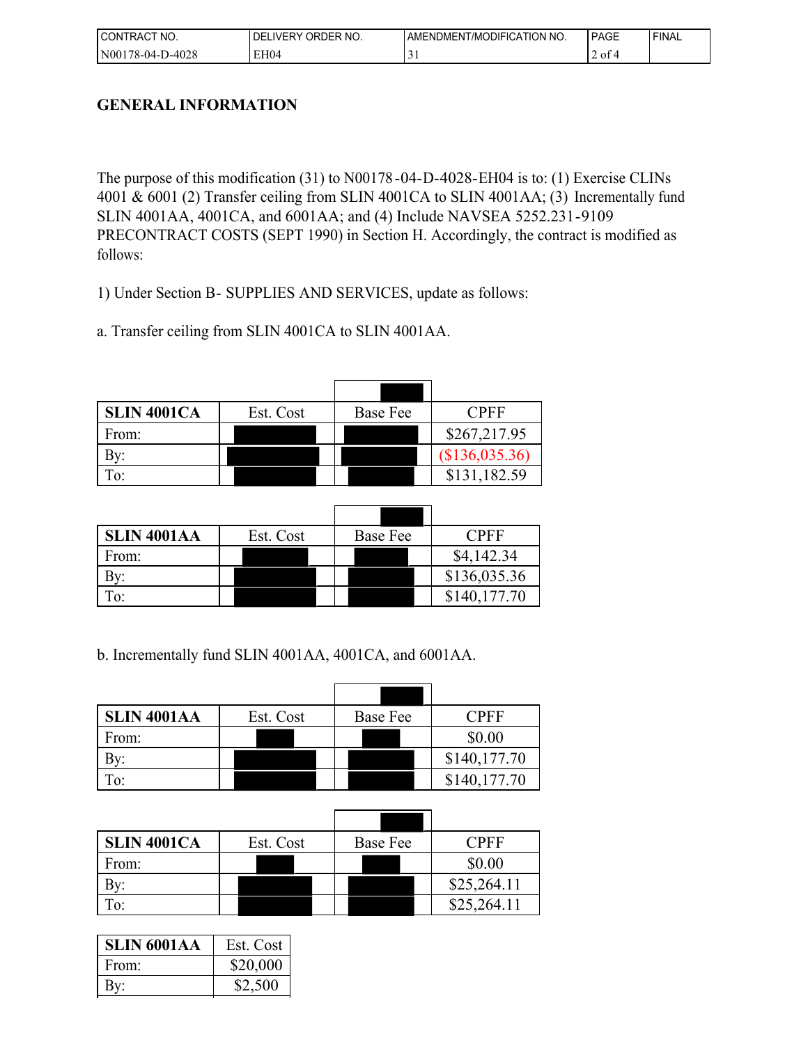| I CONTRACT NO.   | ORDER NO.<br>DEL<br>LIVERY | <b>LAMENDMENT/MODIFICATION NO.</b> | PAGE           | ' FINAL |
|------------------|----------------------------|------------------------------------|----------------|---------|
| N00178-04-D-4028 | EH04                       |                                    | $'$ of $\cdot$ |         |

# **GENERAL INFORMATION**

The purpose of this modification (31) to N00178-04-D-4028-EH04 is to: (1) Exercise CLINs 4001 & 6001 (2) Transfer ceiling from SLIN 4001CA to SLIN 4001AA; (3) Incrementally fund SLIN 4001AA, 4001CA, and 6001AA; and (4) Include NAVSEA 5252.231-9109 PRECONTRACT COSTS (SEPT 1990) in Section H. Accordingly, the contract is modified as follows:

1) Under Section B- SUPPLIES AND SERVICES, update as follows:

a. Transfer ceiling from SLIN 4001CA to SLIN 4001AA.

| <b>SLIN 4001CA</b> | Est. Cost | Base Fee | <b>CPFF</b>    |
|--------------------|-----------|----------|----------------|
| From:              |           |          | \$267,217.95   |
|                    |           |          | (\$136,035.36) |
|                    |           |          | \$131,182.59   |

| <b>SLIN 4001AA</b> | Est. Cost | Base Fee | CPFF         |
|--------------------|-----------|----------|--------------|
| From:              |           |          | \$4,142.34   |
|                    |           |          | \$136,035.36 |
|                    |           |          | \$140,177.70 |

b. Incrementally fund SLIN 4001AA, 4001CA, and 6001AA.

| <b>SLIN 4001AA</b> | Est. Cost | <b>Base Fee</b> | CPFF         |
|--------------------|-----------|-----------------|--------------|
| From:              |           |                 | \$0.00       |
|                    |           |                 | \$140,177.70 |
| $\mathbf{r}_{0}$   |           |                 | \$140,177.70 |

| <b>SLIN 4001CA</b> | Est. Cost | <b>Base Fee</b> | CPFF        |
|--------------------|-----------|-----------------|-------------|
| From:              |           |                 | \$0.00      |
|                    |           |                 | \$25,264.11 |
|                    |           |                 | \$25,264.11 |

| <b>SLIN 6001AA</b> | Est. Cost |
|--------------------|-----------|
| From:              | \$20,000  |
|                    | \$2,500   |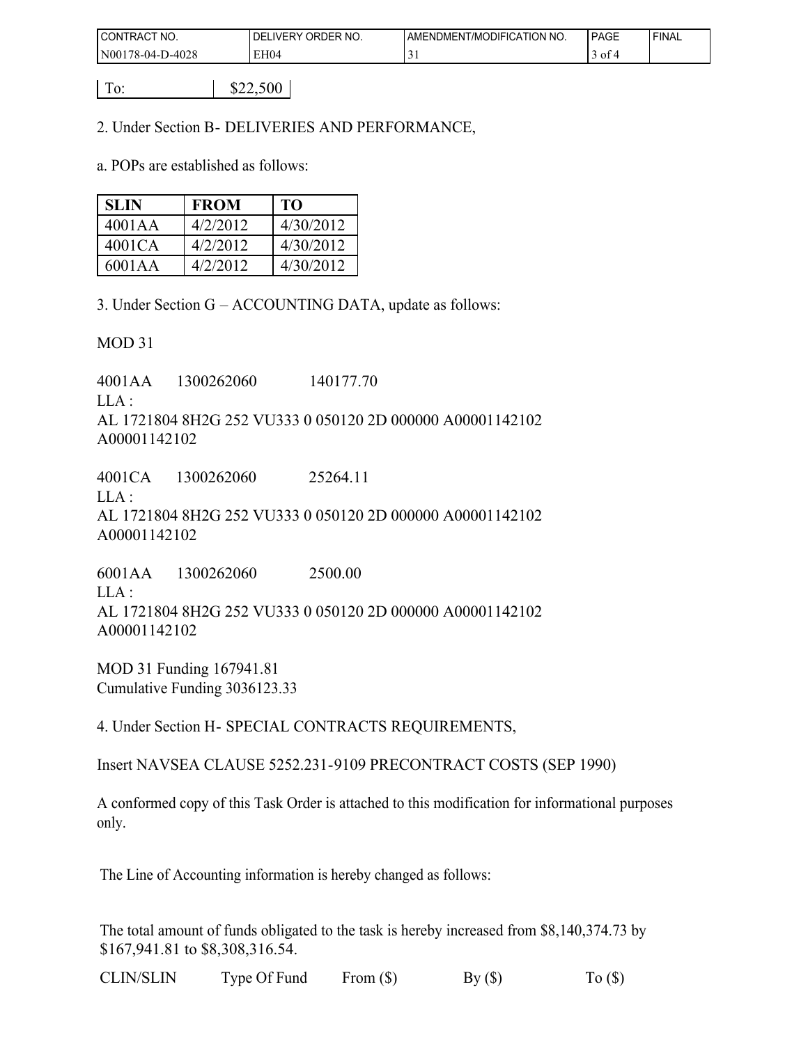| I CONTRACT NO.   | ORDER NO.<br><b>IVERY</b><br>DFI | <b>LAMENDMENT/MODIFICATION NO.</b> | PAGE         | 'FINAL |
|------------------|----------------------------------|------------------------------------|--------------|--------|
| N00178-04-D-4028 | EH04                             | ┘                                  | $\sim$<br>οt |        |

 $\boxed{To:}$   $\boxed{822,500}$ 

2. Under Section B- DELIVERIES AND PERFORMANCE,

a. POPs are established as follows:

| <b>SLIN</b> | <b>FROM</b> | TO        |
|-------------|-------------|-----------|
| 4001AA      | 4/2/2012    | 4/30/2012 |
| 4001CA      | 4/2/2012    | 4/30/2012 |
| 6001AA      | 4/2/2012    | 4/30/2012 |

3. Under Section G – ACCOUNTING DATA, update as follows:

MOD 31

4001AA 1300262060 140177.70  $LLA$  : AL 1721804 8H2G 252 VU333 0 050120 2D 000000 A00001142102 A00001142102

4001CA 1300262060 25264.11  $LLA$ : AL 1721804 8H2G 252 VU333 0 050120 2D 000000 A00001142102 A00001142102

6001AA 1300262060 2500.00 LLA : AL 1721804 8H2G 252 VU333 0 050120 2D 000000 A00001142102 A00001142102

MOD 31 Funding 167941.81 Cumulative Funding 3036123.33

4. Under Section H- SPECIAL CONTRACTS REQUIREMENTS,

Insert NAVSEA CLAUSE 5252.231-9109 PRECONTRACT COSTS (SEP 1990)

A conformed copy of this Task Order is attached to this modification for informational purposes only.

The Line of Accounting information is hereby changed as follows:

The total amount of funds obligated to the task is hereby increased from \$8,140,374.73 by \$167,941.81 to \$8,308,316.54.

CLIN/SLIN Type Of Fund From  $(\$)$  By  $(\$)$  To  $(\$)$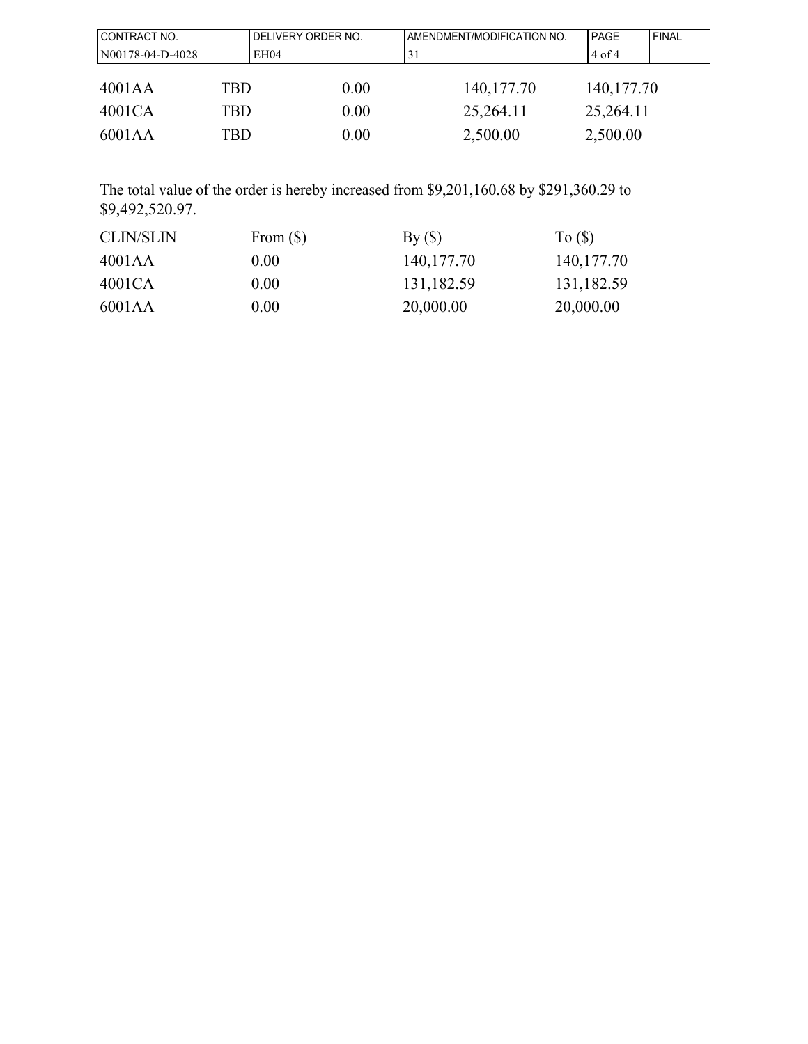| CONTRACT NO.     |     | DELIVERY ORDER NO.<br>AMENDMENT/MODIFICATION NO. |              | <b>PAGE</b>  | FINAL |
|------------------|-----|--------------------------------------------------|--------------|--------------|-------|
| N00178-04-D-4028 |     | EH04                                             | 31           | $4$ of 4     |       |
|                  |     |                                                  |              |              |       |
| 4001AA           | TBD | 0.00                                             | 140, 177. 70 | 140, 177. 70 |       |
| 4001CA           | TBD | 0.00                                             | 25,264.11    | 25,264.11    |       |
| 6001AA           | TBD | 0.00                                             | 2,500.00     | 2,500.00     |       |

The total value of the order is hereby increased from \$9,201,160.68 by \$291,360.29 to \$9,492,520.97.

| <b>CLIN/SLIN</b> | From $(\$)$ | By (§)       | To $($ )     |
|------------------|-------------|--------------|--------------|
| 4001AA           | 0.00        | 140, 177. 70 | 140, 177. 70 |
| 4001CA           | 0.00        | 131,182.59   | 131,182.59   |
| 6001AA           | 0.00        | 20,000.00    | 20,000.00    |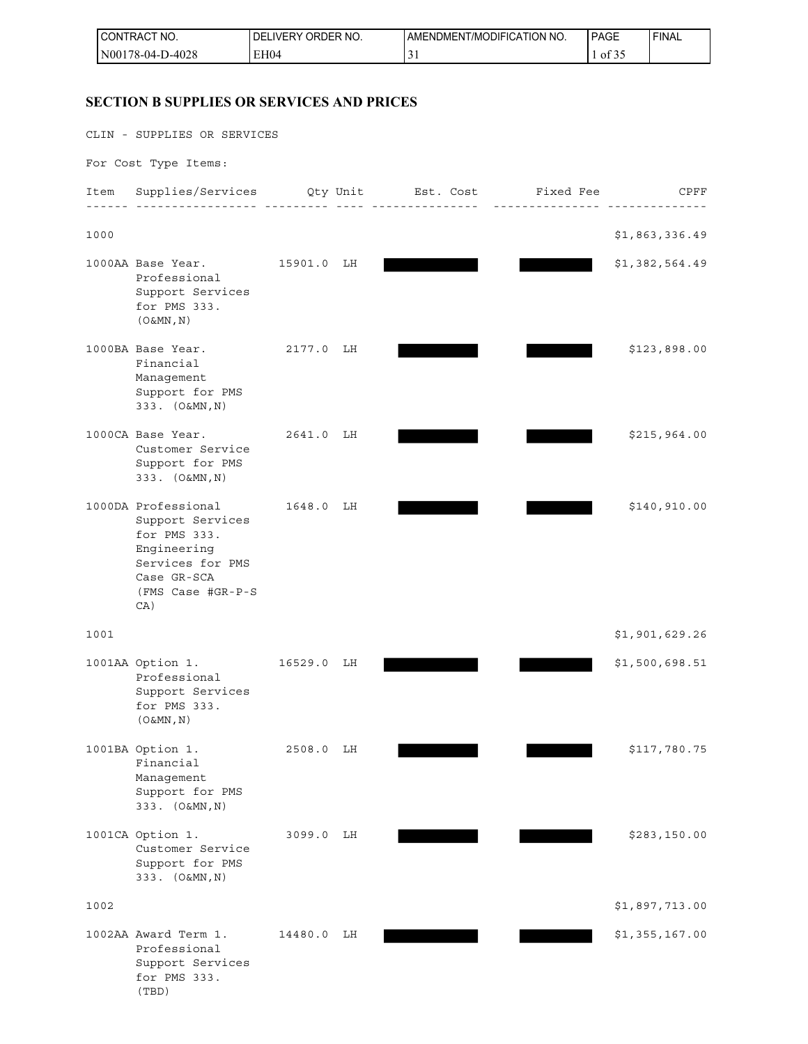| <sup>1</sup> CONTRACT NO.    | <b>ORDER</b><br>NO.<br><b>DELIVERY</b> | AMENDMENT/MODIFICATION NO. | <b>PAGE</b>                   | ' FINAL |
|------------------------------|----------------------------------------|----------------------------|-------------------------------|---------|
| D-4028<br>N00178-<br>/8-04-Г | EH <sub>04</sub>                       |                            | $\sim$ $\sim$ $\sim$<br>of 35 |         |

## **SECTION B SUPPLIES OR SERVICES AND PRICES**

CLIN - SUPPLIES OR SERVICES

For Cost Type Items:

| Item | Supplies/Services                                                                                                                     |         | Qty Unit | Est. Cost | Fixed Fee | CPFF           |
|------|---------------------------------------------------------------------------------------------------------------------------------------|---------|----------|-----------|-----------|----------------|
| 1000 |                                                                                                                                       |         |          |           |           | \$1,863,336.49 |
|      | 1000AA Base Year.<br>Professional<br>Support Services<br>for PMS 333.<br>$(0\&MN, N)$                                                 | 15901.0 | LH       |           |           | \$1,382,564.49 |
|      | 1000BA Base Year.<br>Financial<br>Management<br>Support for PMS<br>333. (O&MN, N)                                                     | 2177.0  | LH       |           |           | \$123,898.00   |
|      | 1000CA Base Year.<br>Customer Service<br>Support for PMS<br>333. (O&MN, N)                                                            | 2641.0  | LH       |           |           | \$215,964.00   |
|      | 1000DA Professional<br>Support Services<br>for PMS 333.<br>Engineering<br>Services for PMS<br>Case GR-SCA<br>(FMS Case #GR-P-S<br>CA) | 1648.0  | LH       |           |           | \$140,910.00   |
| 1001 |                                                                                                                                       |         |          |           |           | \$1,901,629.26 |
|      | 1001AA Option 1.<br>Professional<br>Support Services<br>for PMS 333.<br>$(0\&MN, N)$                                                  | 16529.0 | LH       |           |           | \$1,500,698.51 |
|      | 1001BA Option 1.<br>Financial<br>Management<br>Support for PMS<br>333. (O&MN, N)                                                      | 2508.0  | LН       |           |           | \$117,780.75   |
|      | 1001CA Option 1.<br>Customer Service<br>Support for PMS<br>333. (O&MN, N)                                                             | 3099.0  | LH       |           |           | \$283,150.00   |
| 1002 |                                                                                                                                       |         |          |           |           | \$1,897,713.00 |
|      | 1002AA Award Term 1.<br>Professional<br>Support Services<br>for PMS 333.<br>(TBD)                                                     | 14480.0 | LH       |           |           | \$1,355,167.00 |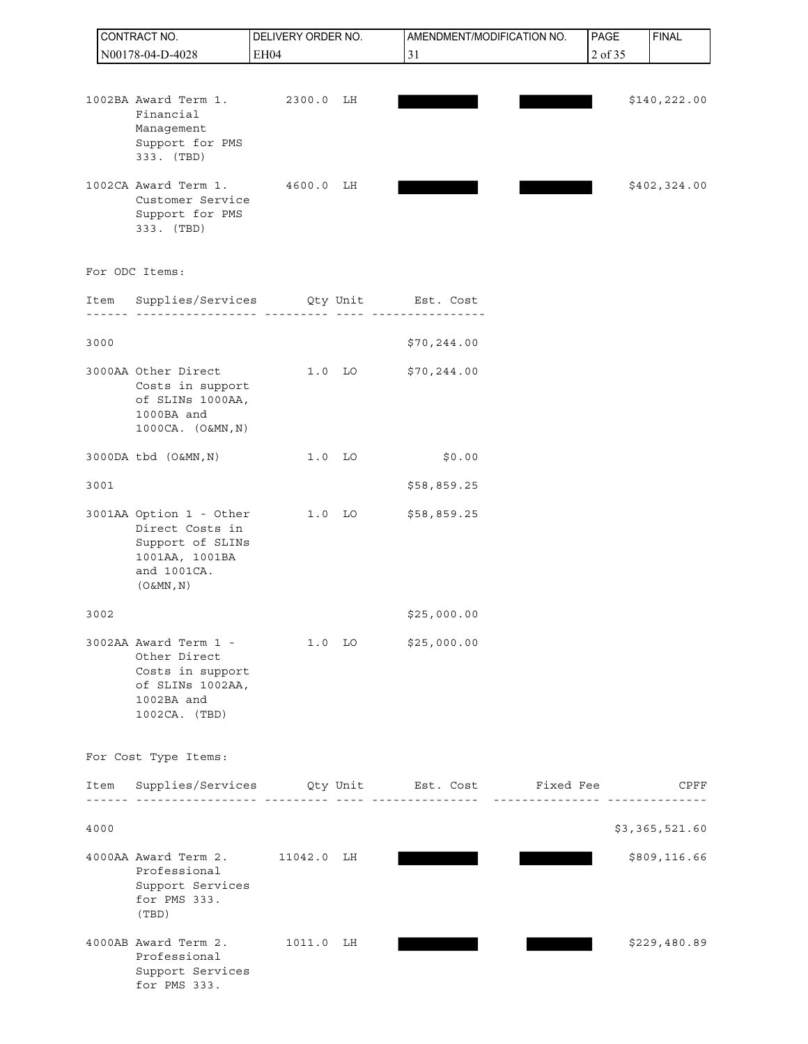|      | CONTRACT NO.                                                                                                    | DELIVERY ORDER NO. |                   | AMENDMENT/MODIFICATION NO.                                        |                 | PAGE                            | <b>FINAL</b>   |
|------|-----------------------------------------------------------------------------------------------------------------|--------------------|-------------------|-------------------------------------------------------------------|-----------------|---------------------------------|----------------|
|      | N00178-04-D-4028                                                                                                | EH04               |                   | 31                                                                |                 | 2 of 35                         |                |
|      | 1002BA Award Term 1.                                                                                            | 2300.0 LH          |                   |                                                                   |                 |                                 | \$140, 222.00  |
|      | Financial<br>Management<br>Support for PMS<br>333. (TBD)                                                        |                    |                   |                                                                   |                 |                                 |                |
|      | 1002CA Award Term 1.<br>Customer Service<br>Support for PMS<br>333. (TBD)                                       | 4600.0             | LH                |                                                                   |                 |                                 | \$402,324.00   |
|      | For ODC Items:                                                                                                  |                    |                   |                                                                   |                 |                                 |                |
| Item | Supplies/Services Qty Unit Est. Cost                                                                            | -- ----------      |                   |                                                                   |                 |                                 |                |
| 3000 |                                                                                                                 |                    |                   | \$70, 244.00                                                      |                 |                                 |                |
|      | 3000AA Other Direct<br>Costs in support<br>of SLINs 1000AA,<br>1000BA and<br>1000CA. (O&MN, N)                  |                    | $1.0$ LO          | \$70, 244.00                                                      |                 |                                 |                |
|      | 3000DA tbd (O&MN, N)                                                                                            |                    | $1.0$ LO          | \$0.00                                                            |                 |                                 |                |
| 3001 |                                                                                                                 |                    |                   | \$58,859.25                                                       |                 |                                 |                |
|      | 3001AA Option 1 - Other<br>Direct Costs in<br>Support of SLINs<br>1001AA, 1001BA<br>and 1001CA.<br>$(0\&MN, N)$ |                    | $1.0$ LO          | \$58,859.25                                                       |                 |                                 |                |
| 3002 |                                                                                                                 |                    |                   | \$25,000.00                                                       |                 |                                 |                |
|      | 3002AA Award Term 1 -<br>Other Direct<br>Costs in support<br>of SLINs 1002AA,<br>1002BA and<br>1002CA. (TBD)    |                    | 1.0 <sub>LO</sub> | \$25,000.00                                                       |                 |                                 |                |
|      | For Cost Type Items:                                                                                            |                    |                   |                                                                   |                 |                                 |                |
| Item |                                                                                                                 |                    |                   | Supplies/Services Qty Unit Est. Cost Fixed Fee<br>--------------- | $- - - - - - -$ | _ _ _ _ _ _ _ _ _ _ _ _ _ _ _ _ | CPFF           |
| 4000 |                                                                                                                 |                    |                   |                                                                   |                 |                                 | \$3,365,521.60 |
|      | 4000AA Award Term 2. 11042.0 LH<br>Professional<br>Support Services<br>for PMS 333.<br>(TBD)                    |                    |                   |                                                                   |                 |                                 | \$809,116.66   |
|      | 4000AB Award Term 2.<br>Professional<br>Support Services<br>for PMS 333.                                        | 1011.0 LH          |                   |                                                                   |                 |                                 | \$229,480.89   |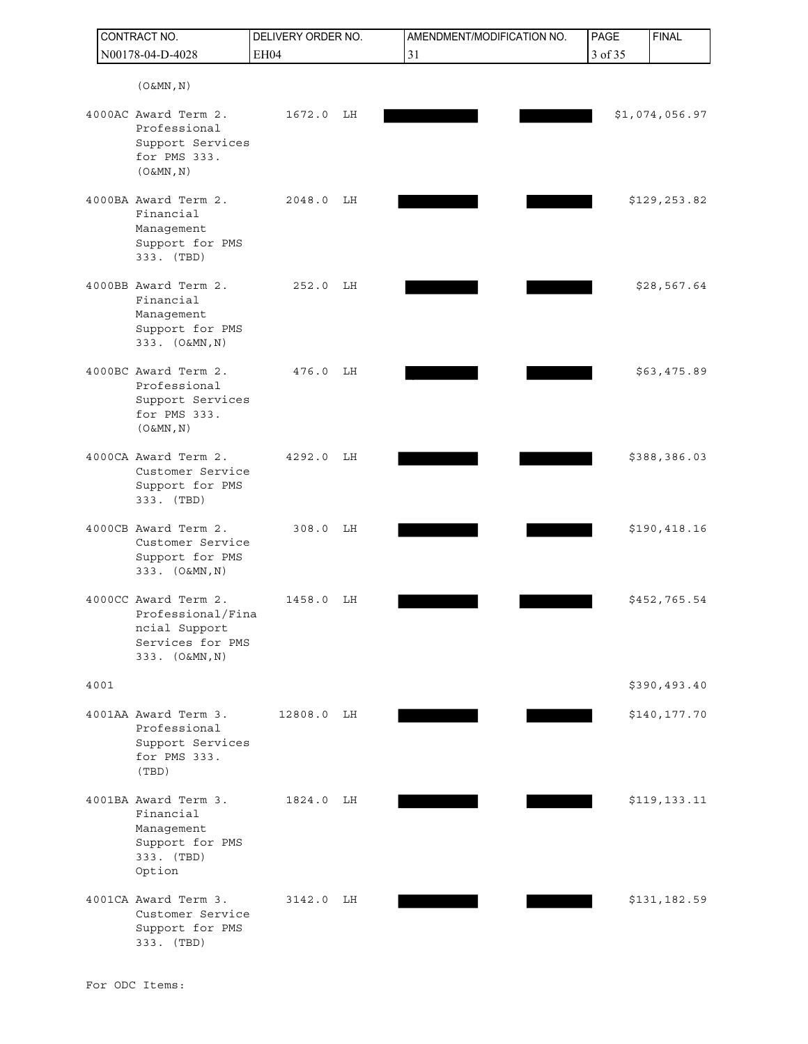| CONTRACT NO. |                                                                                                  | DELIVERY ORDER NO. |    | AMENDMENT/MODIFICATION NO. | PAGE    | <b>FINAL</b>   |
|--------------|--------------------------------------------------------------------------------------------------|--------------------|----|----------------------------|---------|----------------|
|              | N00178-04-D-4028                                                                                 | EH04               |    | 31                         | 3 of 35 |                |
|              | $(0\&MN, N)$                                                                                     |                    |    |                            |         |                |
|              | 4000AC Award Term 2.<br>Professional<br>Support Services<br>for PMS 333.<br>$(0\&MN, N)$         | 1672.0             | LH |                            |         | \$1,074,056.97 |
|              | 4000BA Award Term 2.<br>Financial<br>Management<br>Support for PMS<br>333. (TBD)                 | 2048.0             | LH |                            |         | \$129,253.82   |
|              | 4000BB Award Term 2.<br>Financial<br>Management<br>Support for PMS<br>333. (O&MN, N)             | 252.0              | LH |                            |         | \$28,567.64    |
|              | 4000BC Award Term 2.<br>Professional<br>Support Services<br>for PMS 333.<br>$(0\&MN, N)$         | 476.0              | LH |                            |         | \$63,475.89    |
|              | 4000CA Award Term 2.<br>Customer Service<br>Support for PMS<br>333. (TBD)                        | 4292.0             | LH |                            |         | \$388,386.03   |
|              | 4000CB Award Term 2.<br>Customer Service<br>Support for PMS<br>333. (O&MN, N)                    | 308.0              | LH |                            |         | \$190,418.16   |
|              | 4000CC Award Term 2.<br>Professional/Fina<br>ncial Support<br>Services for PMS<br>333. (O&MN, N) | 1458.0             | LH |                            |         | \$452,765.54   |
| 4001         |                                                                                                  |                    |    |                            |         | \$390,493.40   |
|              | 4001AA Award Term 3.<br>Professional<br>Support Services<br>for PMS 333.<br>(TBD)                | 12808.0            | LH |                            |         | \$140,177.70   |
|              | 4001BA Award Term 3.<br>Financial<br>Management<br>Support for PMS<br>333. (TBD)<br>Option       | 1824.0             | LН |                            |         | \$119,133.11   |
|              | 4001CA Award Term 3.<br>Customer Service<br>Support for PMS<br>333. (TBD)                        | 3142.0             | LH |                            |         | \$131,182.59   |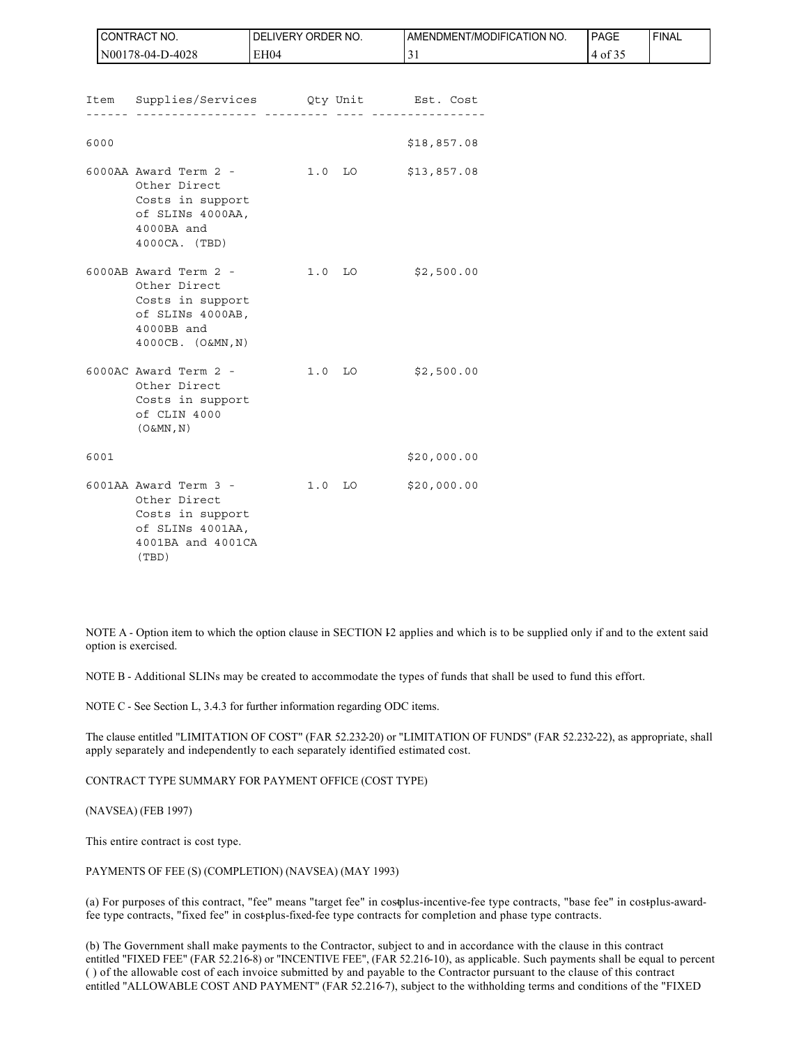|      | CONTRACT NO.                                                                                                            | DELIVERY ORDER NO. | AMENDMENT/MODIFICATION NO. | PAGE    | <b>FINAL</b> |
|------|-------------------------------------------------------------------------------------------------------------------------|--------------------|----------------------------|---------|--------------|
|      | N00178-04-D-4028                                                                                                        | EH04               | 31                         | 4 of 35 |              |
|      |                                                                                                                         |                    |                            |         |              |
|      | Item Supplies/Services Qty Unit Est. Cost                                                                               | <u>.</u>           |                            |         |              |
|      |                                                                                                                         |                    |                            |         |              |
| 6000 |                                                                                                                         |                    | \$18,857.08                |         |              |
|      | 6000AA Award Term 2 - 1.0 LO<br>Other Direct<br>Costs in support<br>of SLINs 4000AA,<br>4000BA and<br>4000CA. (TBD)     |                    | \$13,857.08                |         |              |
|      | 6000AB Award Term 2 - 1.0 LO<br>Other Direct<br>Costs in support<br>of SLINs 4000AB,<br>4000BB and<br>4000CB. (O&MN, N) |                    | \$2,500.00                 |         |              |
|      | 6000AC Award Term 2 - 1.0 LO<br>Other Direct<br>Costs in support<br>of CLIN 4000<br>$(0\&MN, N)$                        |                    | \$2,500.00                 |         |              |
| 6001 |                                                                                                                         |                    | \$20,000.00                |         |              |
|      | 6001AA Award Term 3 - 1.0 LO<br>Other Direct<br>Costs in support<br>of SLINs 4001AA,<br>4001BA and 4001CA<br>(TBD)      |                    | \$20,000.00                |         |              |

NOTE A - Option item to which the option clause in SECTION I2 applies and which is to be supplied only if and to the extent said option is exercised.

NOTE B - Additional SLINs may be created to accommodate the types of funds that shall be used to fund this effort.

NOTE C - See Section L, 3.4.3 for further information regarding ODC items.

The clause entitled "LIMITATION OF COST" (FAR 52.232-20) or "LIMITATION OF FUNDS" (FAR 52.232-22), as appropriate, shall apply separately and independently to each separately identified estimated cost.

CONTRACT TYPE SUMMARY FOR PAYMENT OFFICE (COST TYPE)

(NAVSEA) (FEB 1997)

This entire contract is cost type.

PAYMENTS OF FEE (S) (COMPLETION) (NAVSEA) (MAY 1993)

(a) For purposes of this contract, "fee" means "target fee" in costolus-incentive-fee type contracts, "base fee" in cost-plus-awardfee type contracts, "fixed fee" in cost-plus-fixed-fee type contracts for completion and phase type contracts.

(b) The Government shall make payments to the Contractor, subject to and in accordance with the clause in this contract entitled "FIXED FEE" (FAR 52.216-8) or "INCENTIVE FEE", (FAR 52.216-10), as applicable. Such payments shall be equal to percent ( ) of the allowable cost of each invoice submitted by and payable to the Contractor pursuant to the clause of this contract entitled "ALLOWABLE COST AND PAYMENT" (FAR 52.216-7), subject to the withholding terms and conditions of the "FIXED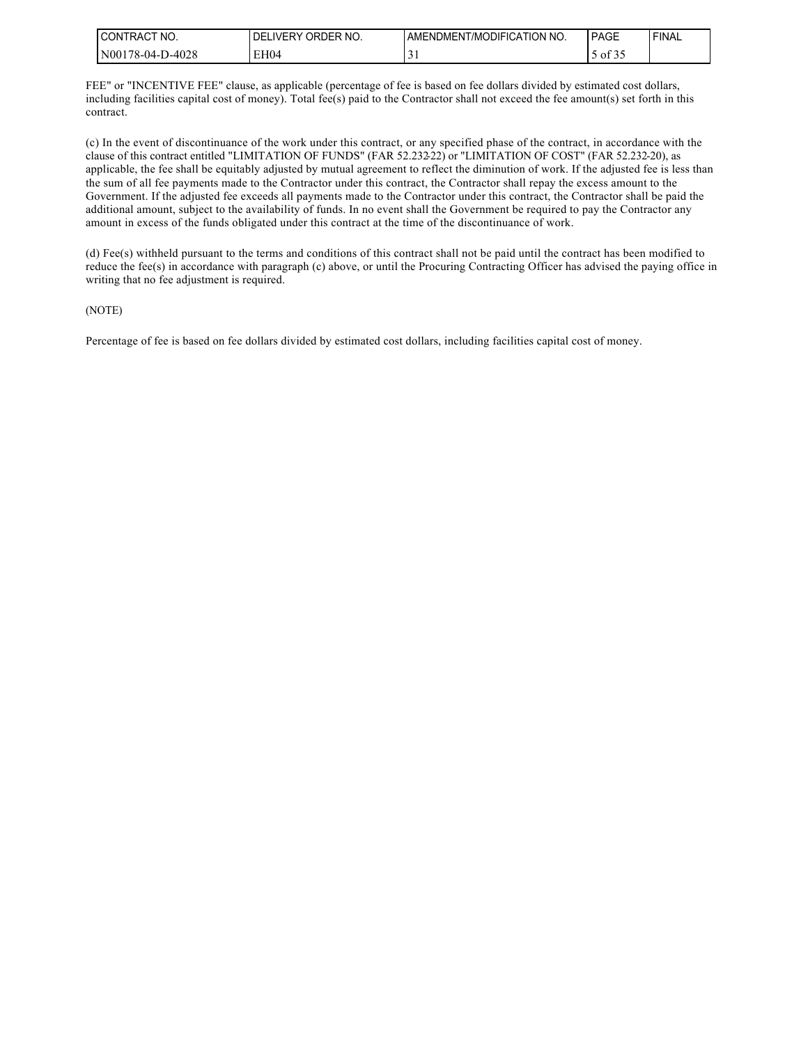| I CONTRACT NO.        | ORDER NO.<br>DELIVERY | AMENDMENT/MODIFICATION NO. | PAGE                   | ' FINAL |
|-----------------------|-----------------------|----------------------------|------------------------|---------|
| 0-4028<br>N00178-04-L | EH04                  | $\sim$<br>◡                | $\mathcal{L}$<br>of 35 |         |

FEE" or "INCENTIVE FEE" clause, as applicable (percentage of fee is based on fee dollars divided by estimated cost dollars, including facilities capital cost of money). Total fee(s) paid to the Contractor shall not exceed the fee amount(s) set forth in this contract.

(c) In the event of discontinuance of the work under this contract, or any specified phase of the contract, in accordance with the clause of this contract entitled "LIMITATION OF FUNDS" (FAR 52.232-22) or "LIMITATION OF COST" (FAR 52.232-20), as applicable, the fee shall be equitably adjusted by mutual agreement to reflect the diminution of work. If the adjusted fee is less than the sum of all fee payments made to the Contractor under this contract, the Contractor shall repay the excess amount to the Government. If the adjusted fee exceeds all payments made to the Contractor under this contract, the Contractor shall be paid the additional amount, subject to the availability of funds. In no event shall the Government be required to pay the Contractor any amount in excess of the funds obligated under this contract at the time of the discontinuance of work.

(d) Fee(s) withheld pursuant to the terms and conditions of this contract shall not be paid until the contract has been modified to reduce the fee(s) in accordance with paragraph (c) above, or until the Procuring Contracting Officer has advised the paying office in writing that no fee adjustment is required.

#### (NOTE)

Percentage of fee is based on fee dollars divided by estimated cost dollars, including facilities capital cost of money.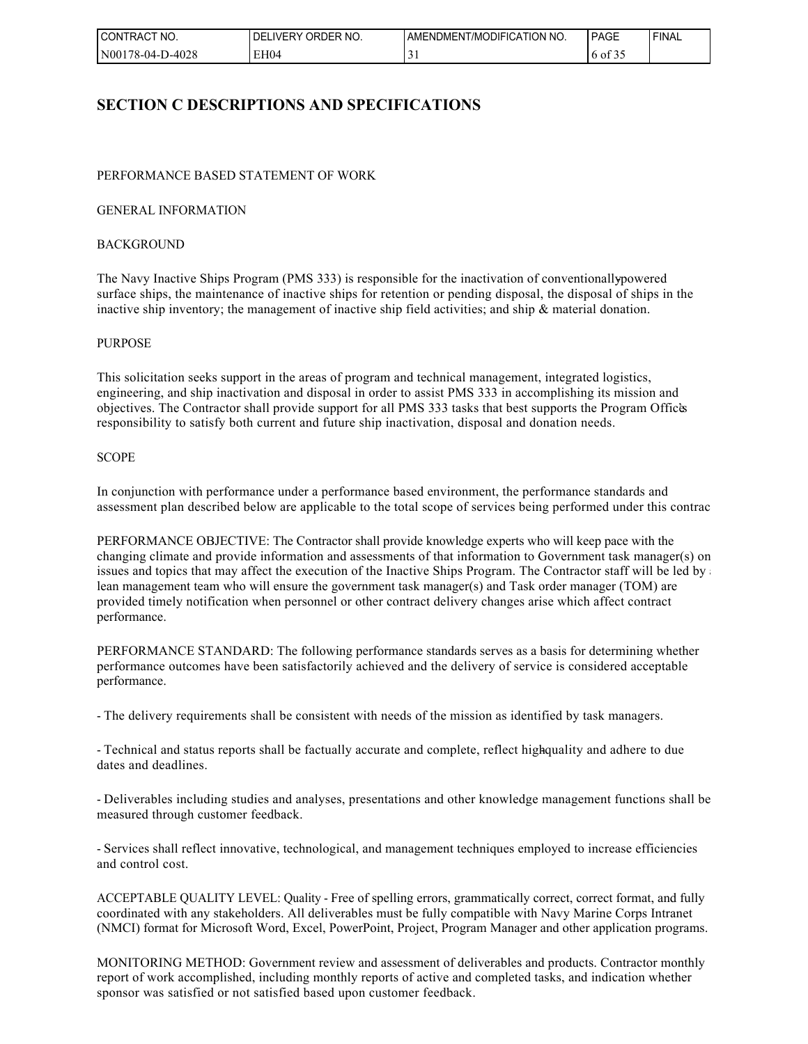| I CONTRACT<br>NO. | ORDER NO.<br><b>DELIVERY</b> | AMENDMENT/MODIFICATION NO. | PAGE            | ' FINAL |
|-------------------|------------------------------|----------------------------|-----------------|---------|
| N00178-04-D-4028  | EH04                         | ັ                          | 0.25<br>6 of 35 |         |

# **SECTION C DESCRIPTIONS AND SPECIFICATIONS**

#### PERFORMANCE BASED STATEMENT OF WORK

#### GENERAL INFORMATION

#### **BACKGROUND**

The Navy Inactive Ships Program (PMS 333) is responsible for the inactivation of conventionally-powered surface ships, the maintenance of inactive ships for retention or pending disposal, the disposal of ships in the inactive ship inventory; the management of inactive ship field activities; and ship & material donation.

#### PURPOSE

This solicitation seeks support in the areas of program and technical management, integrated logistics, engineering, and ship inactivation and disposal in order to assist PMS 333 in accomplishing its mission and objectives. The Contractor shall provide support for all PMS 333 tasks that best supports the Program Office's responsibility to satisfy both current and future ship inactivation, disposal and donation needs.

#### **SCOPE**

In conjunction with performance under a performance based environment, the performance standards and assessment plan described below are applicable to the total scope of services being performed under this contrac

PERFORMANCE OBJECTIVE: The Contractor shall provide knowledge experts who will keep pace with the changing climate and provide information and assessments of that information to Government task manager(s) on issues and topics that may affect the execution of the Inactive Ships Program. The Contractor staff will be led by  $\alpha$ lean management team who will ensure the government task manager(s) and Task order manager (TOM) are provided timely notification when personnel or other contract delivery changes arise which affect contract performance.

PERFORMANCE STANDARD: The following performance standards serves as a basis for determining whether performance outcomes have been satisfactorily achieved and the delivery of service is considered acceptable performance.

- The delivery requirements shall be consistent with needs of the mission as identified by task managers.

- Technical and status reports shall be factually accurate and complete, reflect high-quality and adhere to due dates and deadlines.

- Deliverables including studies and analyses, presentations and other knowledge management functions shall be measured through customer feedback.

- Services shall reflect innovative, technological, and management techniques employed to increase efficiencies and control cost.

ACCEPTABLE QUALITY LEVEL: Quality - Free of spelling errors, grammatically correct, correct format, and fully coordinated with any stakeholders. All deliverables must be fully compatible with Navy Marine Corps Intranet (NMCI) format for Microsoft Word, Excel, PowerPoint, Project, Program Manager and other application programs.

MONITORING METHOD: Government review and assessment of deliverables and products. Contractor monthly report of work accomplished, including monthly reports of active and completed tasks, and indication whether sponsor was satisfied or not satisfied based upon customer feedback.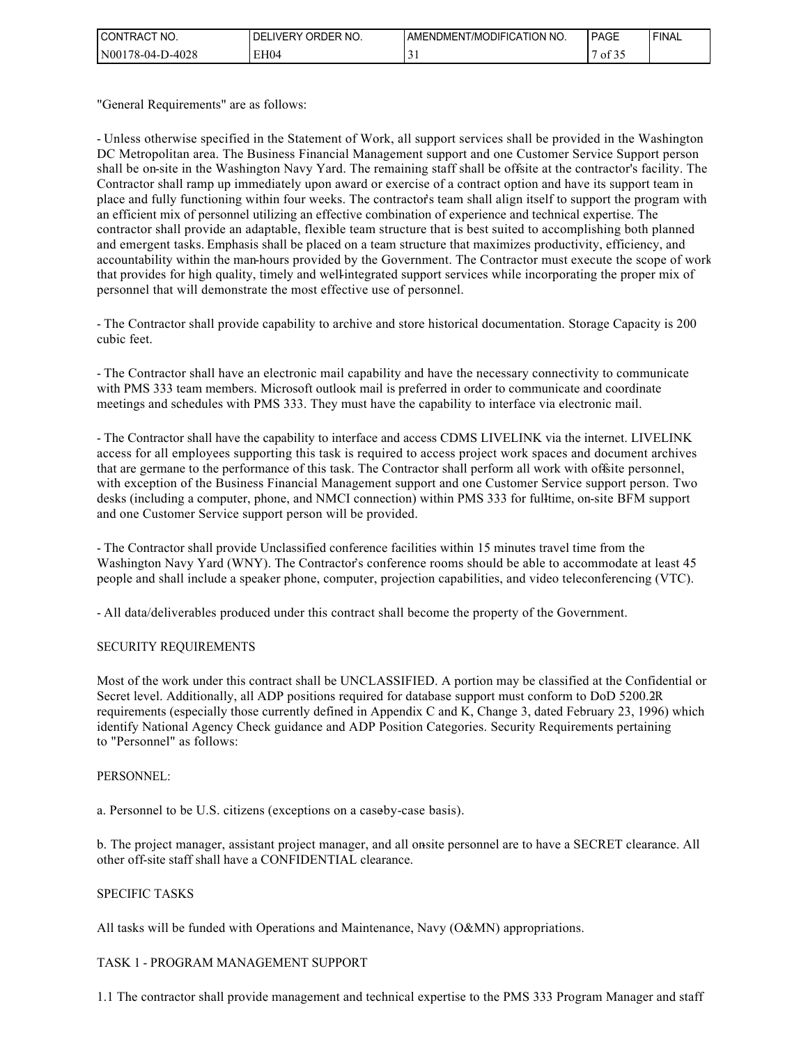| `CT NO.<br><b>CONTRACT</b> | ORDER NO.<br><b>DELIVERY</b> | ENDMENT/MODIFICATION NO.<br><b>AME</b> | PAGE                                    | <b>FINAL</b> |
|----------------------------|------------------------------|----------------------------------------|-----------------------------------------|--------------|
| N00178-04-D-4028           | EH04                         | ◡                                      | $\mathcal{C} \cap \mathcal{C}$<br>of 35 |              |

"General Requirements" are as follows:

- Unless otherwise specified in the Statement of Work, all support services shall be provided in the Washington DC Metropolitan area. The Business Financial Management support and one Customer Service Support person shall be on-site in the Washington Navy Yard. The remaining staff shall be offsite at the contractor's facility. The Contractor shall ramp up immediately upon award or exercise of a contract option and have its support team in place and fully functioning within four weeks. The contractor's team shall align itself to support the program with an efficient mix of personnel utilizing an effective combination of experience and technical expertise. The contractor shall provide an adaptable, flexible team structure that is best suited to accomplishing both planned and emergent tasks. Emphasis shall be placed on a team structure that maximizes productivity, efficiency, and accountability within the man-hours provided by the Government. The Contractor must execute the scope of work that provides for high quality, timely and well-integrated support services while incorporating the proper mix of personnel that will demonstrate the most effective use of personnel.

- The Contractor shall provide capability to archive and store historical documentation. Storage Capacity is 200 cubic feet.

- The Contractor shall have an electronic mail capability and have the necessary connectivity to communicate with PMS 333 team members. Microsoft outlook mail is preferred in order to communicate and coordinate meetings and schedules with PMS 333. They must have the capability to interface via electronic mail.

- The Contractor shall have the capability to interface and access CDMS LIVELINK via the internet. LIVELINK access for all employees supporting this task is required to access project work spaces and document archives that are germane to the performance of this task. The Contractor shall perform all work with offsite personnel, with exception of the Business Financial Management support and one Customer Service support person. Two desks (including a computer, phone, and NMCI connection) within PMS 333 for full-time, on-site BFM support and one Customer Service support person will be provided.

- The Contractor shall provide Unclassified conference facilities within 15 minutes travel time from the Washington Navy Yard (WNY). The Contractor's conference rooms should be able to accommodate at least 45 people and shall include a speaker phone, computer, projection capabilities, and video teleconferencing (VTC).

- All data/deliverables produced under this contract shall become the property of the Government.

#### SECURITY REQUIREMENTS

Most of the work under this contract shall be UNCLASSIFIED. A portion may be classified at the Confidential or Secret level. Additionally, all ADP positions required for database support must conform to DoD 5200.2R requirements (especially those currently defined in Appendix C and K, Change 3, dated February 23, 1996) which identify National Agency Check guidance and ADP Position Categories. Security Requirements pertaining to "Personnel" as follows:

#### PERSONNEL:

a. Personnel to be U.S. citizens (exceptions on a caseby-case basis).

b. The project manager, assistant project manager, and all onsite personnel are to have a SECRET clearance. All other off-site staff shall have a CONFIDENTIAL clearance.

#### SPECIFIC TASKS

All tasks will be funded with Operations and Maintenance, Navy (O&MN) appropriations.

#### TASK 1 - PROGRAM MANAGEMENT SUPPORT

1.1 The contractor shall provide management and technical expertise to the PMS 333 Program Manager and staff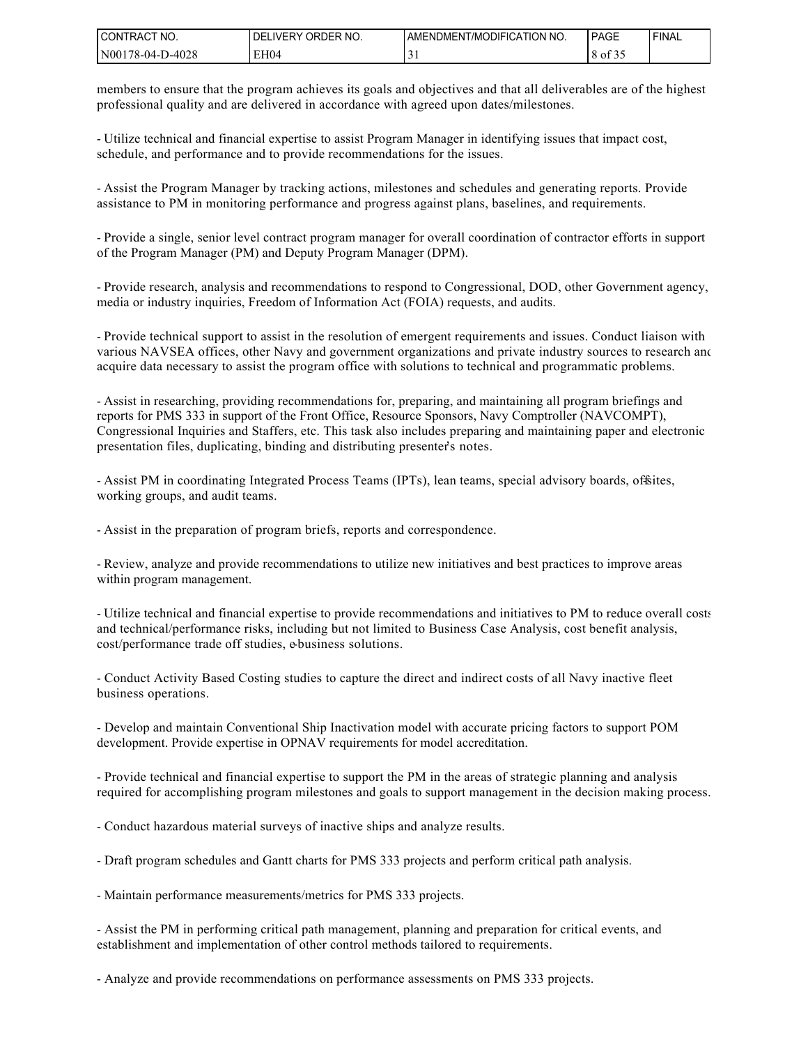| I CONTRACT<br>NO. | ORDER NO.<br><b>LIVERY</b><br>DEI | <b>LAMENDMENT/MODIFICATION NO.</b> | PAGE                   | ' FINAL |
|-------------------|-----------------------------------|------------------------------------|------------------------|---------|
| N00178-04-D-4028  | EH04                              | ◡                                  | $\mathcal{L}$<br>of 35 |         |

members to ensure that the program achieves its goals and objectives and that all deliverables are of the highest professional quality and are delivered in accordance with agreed upon dates/milestones.

- Utilize technical and financial expertise to assist Program Manager in identifying issues that impact cost, schedule, and performance and to provide recommendations for the issues.

- Assist the Program Manager by tracking actions, milestones and schedules and generating reports. Provide assistance to PM in monitoring performance and progress against plans, baselines, and requirements.

- Provide a single, senior level contract program manager for overall coordination of contractor efforts in support of the Program Manager (PM) and Deputy Program Manager (DPM).

- Provide research, analysis and recommendations to respond to Congressional, DOD, other Government agency, media or industry inquiries, Freedom of Information Act (FOIA) requests, and audits.

- Provide technical support to assist in the resolution of emergent requirements and issues. Conduct liaison with various NAVSEA offices, other Navy and government organizations and private industry sources to research and acquire data necessary to assist the program office with solutions to technical and programmatic problems.

- Assist in researching, providing recommendations for, preparing, and maintaining all program briefings and reports for PMS 333 in support of the Front Office, Resource Sponsors, Navy Comptroller (NAVCOMPT), Congressional Inquiries and Staffers, etc. This task also includes preparing and maintaining paper and electronic presentation files, duplicating, binding and distributing presenter's notes.

- Assist PM in coordinating Integrated Process Teams (IPTs), lean teams, special advisory boards, officities, working groups, and audit teams.

- Assist in the preparation of program briefs, reports and correspondence.

- Review, analyze and provide recommendations to utilize new initiatives and best practices to improve areas within program management.

- Utilize technical and financial expertise to provide recommendations and initiatives to PM to reduce overall costs and technical/performance risks, including but not limited to Business Case Analysis, cost benefit analysis, cost/performance trade off studies, e-business solutions.

- Conduct Activity Based Costing studies to capture the direct and indirect costs of all Navy inactive fleet business operations.

- Develop and maintain Conventional Ship Inactivation model with accurate pricing factors to support POM development. Provide expertise in OPNAV requirements for model accreditation.

- Provide technical and financial expertise to support the PM in the areas of strategic planning and analysis required for accomplishing program milestones and goals to support management in the decision making process.

- Conduct hazardous material surveys of inactive ships and analyze results.

- Draft program schedules and Gantt charts for PMS 333 projects and perform critical path analysis.

- Maintain performance measurements/metrics for PMS 333 projects.

- Assist the PM in performing critical path management, planning and preparation for critical events, and establishment and implementation of other control methods tailored to requirements.

- Analyze and provide recommendations on performance assessments on PMS 333 projects.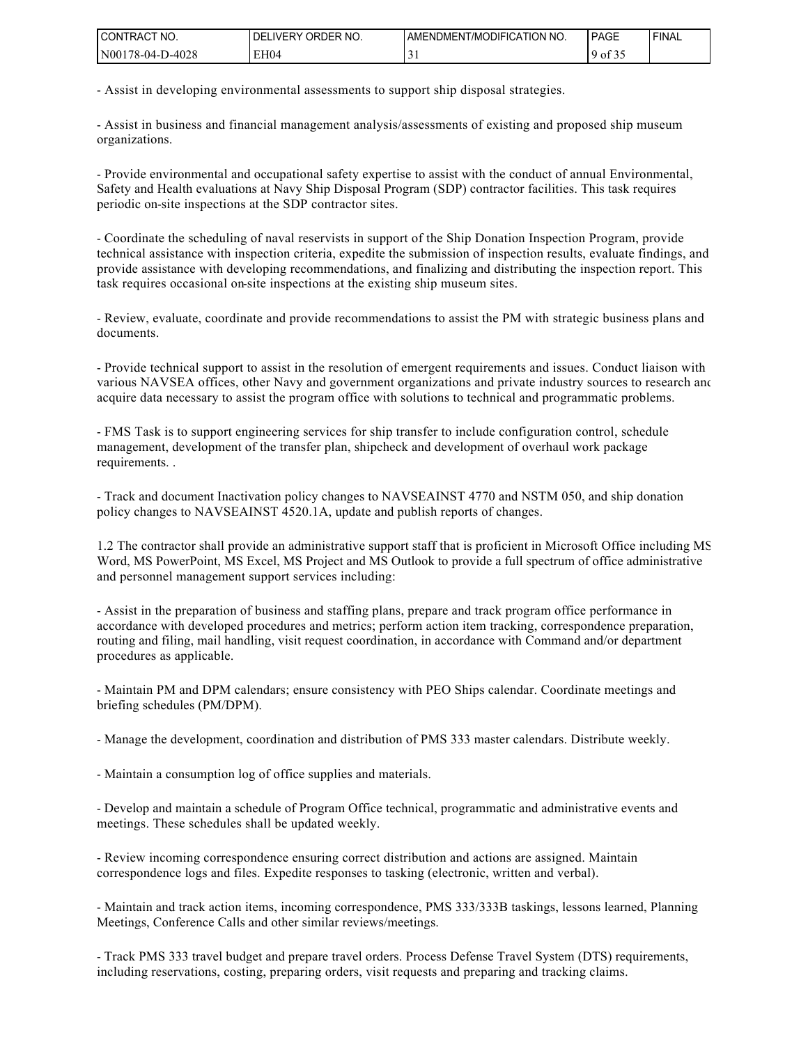| I CONTRACT NO.   | ORDER NO.<br>DEL<br><b>LIVERY</b> | AMENDMENT/MODIFICATION NO. | PAGE                              | ' FINAL |
|------------------|-----------------------------------|----------------------------|-----------------------------------|---------|
| N00178-04-D-4028 | EH04                              |                            | 0.25<br>$\Omega$<br>$\cdot$ of 3. |         |

- Assist in developing environmental assessments to support ship disposal strategies.

- Assist in business and financial management analysis/assessments of existing and proposed ship museum organizations.

- Provide environmental and occupational safety expertise to assist with the conduct of annual Environmental, Safety and Health evaluations at Navy Ship Disposal Program (SDP) contractor facilities. This task requires periodic on-site inspections at the SDP contractor sites.

- Coordinate the scheduling of naval reservists in support of the Ship Donation Inspection Program, provide technical assistance with inspection criteria, expedite the submission of inspection results, evaluate findings, and provide assistance with developing recommendations, and finalizing and distributing the inspection report. This task requires occasional on-site inspections at the existing ship museum sites.

- Review, evaluate, coordinate and provide recommendations to assist the PM with strategic business plans and documents.

- Provide technical support to assist in the resolution of emergent requirements and issues. Conduct liaison with various NAVSEA offices, other Navy and government organizations and private industry sources to research and acquire data necessary to assist the program office with solutions to technical and programmatic problems.

- FMS Task is to support engineering services for ship transfer to include configuration control, schedule management, development of the transfer plan, shipcheck and development of overhaul work package requirements. .

- Track and document Inactivation policy changes to NAVSEAINST 4770 and NSTM 050, and ship donation policy changes to NAVSEAINST 4520.1A, update and publish reports of changes.

1.2 The contractor shall provide an administrative support staff that is proficient in Microsoft Office including MS Word, MS PowerPoint, MS Excel, MS Project and MS Outlook to provide a full spectrum of office administrative and personnel management support services including:

- Assist in the preparation of business and staffing plans, prepare and track program office performance in accordance with developed procedures and metrics; perform action item tracking, correspondence preparation, routing and filing, mail handling, visit request coordination, in accordance with Command and/or department procedures as applicable.

- Maintain PM and DPM calendars; ensure consistency with PEO Ships calendar. Coordinate meetings and briefing schedules (PM/DPM).

- Manage the development, coordination and distribution of PMS 333 master calendars. Distribute weekly.

- Maintain a consumption log of office supplies and materials.

- Develop and maintain a schedule of Program Office technical, programmatic and administrative events and meetings. These schedules shall be updated weekly.

- Review incoming correspondence ensuring correct distribution and actions are assigned. Maintain correspondence logs and files. Expedite responses to tasking (electronic, written and verbal).

- Maintain and track action items, incoming correspondence, PMS 333/333B taskings, lessons learned, Planning Meetings, Conference Calls and other similar reviews/meetings.

- Track PMS 333 travel budget and prepare travel orders. Process Defense Travel System (DTS) requirements, including reservations, costing, preparing orders, visit requests and preparing and tracking claims.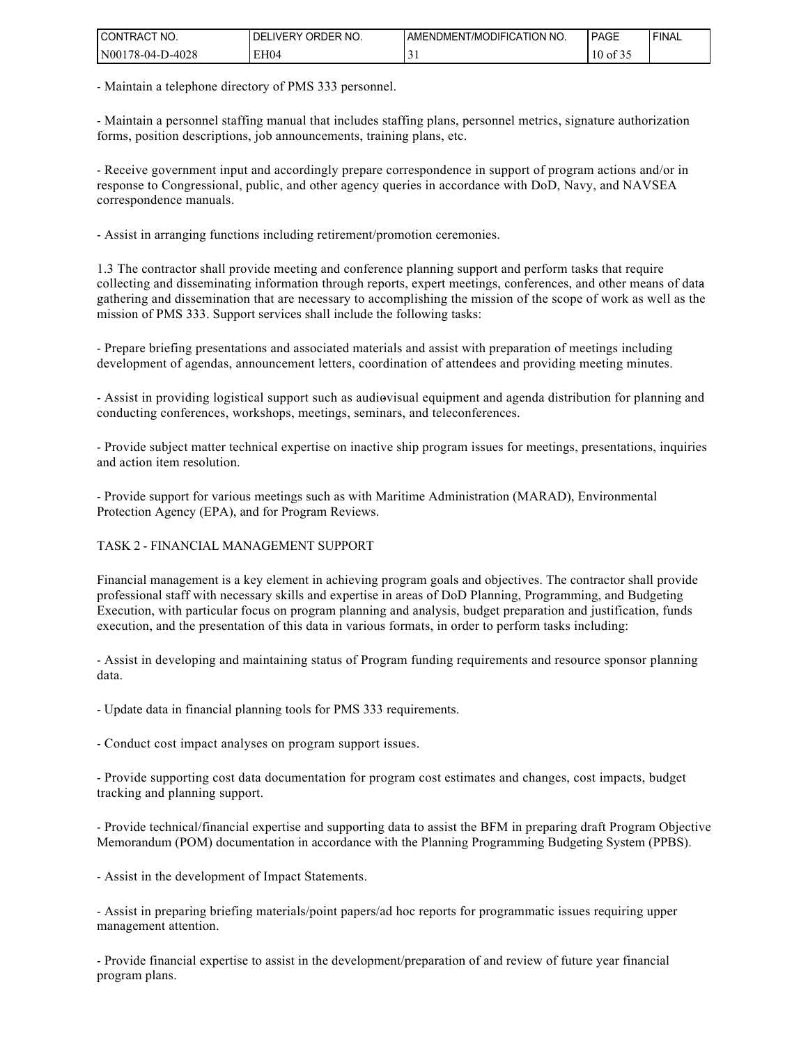| I CONTRACT<br>NO. | ORDER NO.<br><b>DELIVERY</b> | AMENDMENT/MODIFICATION NO. | PAGE                               | ' FINAL |
|-------------------|------------------------------|----------------------------|------------------------------------|---------|
| N00178-04-D-4028  | EH04                         | $\sim$<br>◡                | $\sim$ $\sim$ $\sim$<br>$10$ of 35 |         |

- Maintain a telephone directory of PMS 333 personnel.

- Maintain a personnel staffing manual that includes staffing plans, personnel metrics, signature authorization forms, position descriptions, job announcements, training plans, etc.

- Receive government input and accordingly prepare correspondence in support of program actions and/or in response to Congressional, public, and other agency queries in accordance with DoD, Navy, and NAVSEA correspondence manuals.

- Assist in arranging functions including retirement/promotion ceremonies.

1.3 The contractor shall provide meeting and conference planning support and perform tasks that require collecting and disseminating information through reports, expert meetings, conferences, and other means of datagathering and dissemination that are necessary to accomplishing the mission of the scope of work as well as the mission of PMS 333. Support services shall include the following tasks:

- Prepare briefing presentations and associated materials and assist with preparation of meetings including development of agendas, announcement letters, coordination of attendees and providing meeting minutes.

- Assist in providing logistical support such as audiovisual equipment and agenda distribution for planning and conducting conferences, workshops, meetings, seminars, and teleconferences.

- Provide subject matter technical expertise on inactive ship program issues for meetings, presentations, inquiries and action item resolution.

- Provide support for various meetings such as with Maritime Administration (MARAD), Environmental Protection Agency (EPA), and for Program Reviews.

#### TASK 2 - FINANCIAL MANAGEMENT SUPPORT

Financial management is a key element in achieving program goals and objectives. The contractor shall provide professional staff with necessary skills and expertise in areas of DoD Planning, Programming, and Budgeting Execution, with particular focus on program planning and analysis, budget preparation and justification, funds execution, and the presentation of this data in various formats, in order to perform tasks including:

- Assist in developing and maintaining status of Program funding requirements and resource sponsor planning data.

- Update data in financial planning tools for PMS 333 requirements.

- Conduct cost impact analyses on program support issues.

- Provide supporting cost data documentation for program cost estimates and changes, cost impacts, budget tracking and planning support.

- Provide technical/financial expertise and supporting data to assist the BFM in preparing draft Program Objective Memorandum (POM) documentation in accordance with the Planning Programming Budgeting System (PPBS).

- Assist in the development of Impact Statements.

- Assist in preparing briefing materials/point papers/ad hoc reports for programmatic issues requiring upper management attention.

- Provide financial expertise to assist in the development/preparation of and review of future year financial program plans.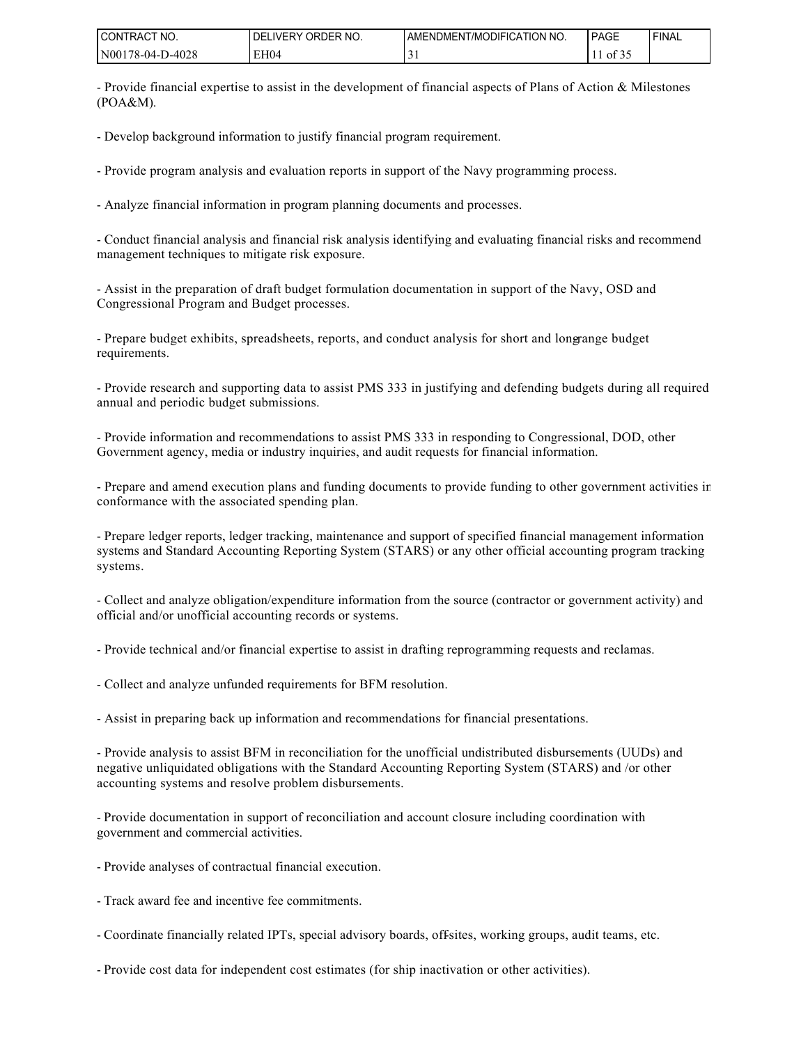| <b>CONTRACT</b><br>'NO. | ORDER NO.<br><b>DELIVERY</b> | <b>I AMENDMENT/MODIFICATION NO.</b> | PAGE  | ' FINAL |
|-------------------------|------------------------------|-------------------------------------|-------|---------|
| N00178-04-D-4028        | EH04                         |                                     | 01.32 |         |

- Provide financial expertise to assist in the development of financial aspects of Plans of Action & Milestones (POA&M).

- Develop background information to justify financial program requirement.

- Provide program analysis and evaluation reports in support of the Navy programming process.

- Analyze financial information in program planning documents and processes.

- Conduct financial analysis and financial risk analysis identifying and evaluating financial risks and recommend management techniques to mitigate risk exposure.

- Assist in the preparation of draft budget formulation documentation in support of the Navy, OSD and Congressional Program and Budget processes.

- Prepare budget exhibits, spreadsheets, reports, and conduct analysis for short and longrange budget requirements.

- Provide research and supporting data to assist PMS 333 in justifying and defending budgets during all required annual and periodic budget submissions.

- Provide information and recommendations to assist PMS 333 in responding to Congressional, DOD, other Government agency, media or industry inquiries, and audit requests for financial information.

- Prepare and amend execution plans and funding documents to provide funding to other government activities in conformance with the associated spending plan.

- Prepare ledger reports, ledger tracking, maintenance and support of specified financial management information systems and Standard Accounting Reporting System (STARS) or any other official accounting program tracking systems.

- Collect and analyze obligation/expenditure information from the source (contractor or government activity) and official and/or unofficial accounting records or systems.

- Provide technical and/or financial expertise to assist in drafting reprogramming requests and reclamas.

- Collect and analyze unfunded requirements for BFM resolution.

- Assist in preparing back up information and recommendations for financial presentations.

- Provide analysis to assist BFM in reconciliation for the unofficial undistributed disbursements (UUDs) and negative unliquidated obligations with the Standard Accounting Reporting System (STARS) and /or other accounting systems and resolve problem disbursements.

- Provide documentation in support of reconciliation and account closure including coordination with government and commercial activities.

- Provide analyses of contractual financial execution.
- Track award fee and incentive fee commitments.
- Coordinate financially related IPTs, special advisory boards, offsites, working groups, audit teams, etc.
- Provide cost data for independent cost estimates (for ship inactivation or other activities).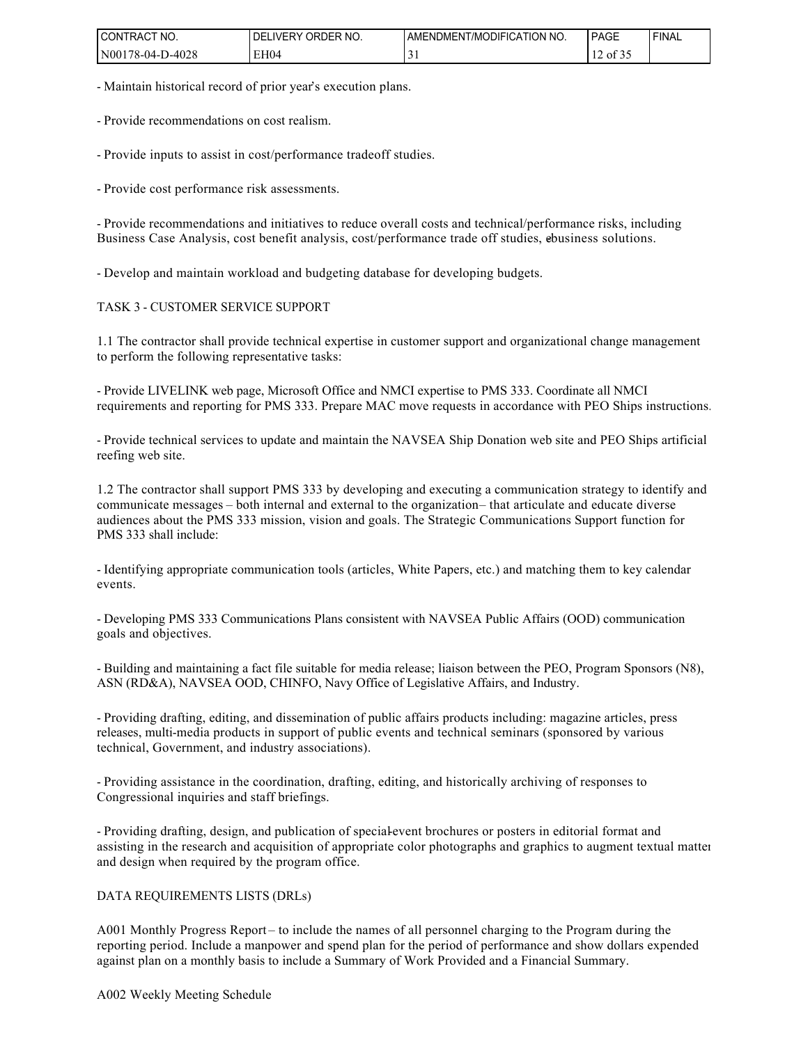| I CONTRACT<br>NO. | ORDER NO.<br><b>DELIVERY</b> | AMENDMENT/MODIFICATION NO. | PAGE                                                       | ' FINAL |
|-------------------|------------------------------|----------------------------|------------------------------------------------------------|---------|
| N00178-04-D-4028  | EH04                         | $\sim$<br>◡                | $\sim$ $\sim$ $\sim$<br>ר ו<br>$\prime$ of $\sigma$ .<br>∸ |         |

- Maintain historical record of prior year's execution plans.

- Provide recommendations on cost realism.

- Provide inputs to assist in cost/performance tradeoff studies.

- Provide cost performance risk assessments.

- Provide recommendations and initiatives to reduce overall costs and technical/performance risks, including Business Case Analysis, cost benefit analysis, cost/performance trade off studies, ebusiness solutions.

- Develop and maintain workload and budgeting database for developing budgets.

#### TASK 3 - CUSTOMER SERVICE SUPPORT

1.1 The contractor shall provide technical expertise in customer support and organizational change management to perform the following representative tasks:

- Provide LIVELINK web page, Microsoft Office and NMCI expertise to PMS 333. Coordinate all NMCI requirements and reporting for PMS 333. Prepare MAC move requests in accordance with PEO Ships instructions.

- Provide technical services to update and maintain the NAVSEA Ship Donation web site and PEO Ships artificial reefing web site.

1.2 The contractor shall support PMS 333 by developing and executing a communication strategy to identify and communicate messages – both internal and external to the organization – that articulate and educate diverse audiences about the PMS 333 mission, vision and goals. The Strategic Communications Support function for PMS 333 shall include:

- Identifying appropriate communication tools (articles, White Papers, etc.) and matching them to key calendar events.

- Developing PMS 333 Communications Plans consistent with NAVSEA Public Affairs (OOD) communication goals and objectives.

- Building and maintaining a fact file suitable for media release; liaison between the PEO, Program Sponsors (N8), ASN (RD&A), NAVSEA OOD, CHINFO, Navy Office of Legislative Affairs, and Industry.

- Providing drafting, editing, and dissemination of public affairs products including: magazine articles, press releases, multi-media products in support of public events and technical seminars (sponsored by various technical, Government, and industry associations).

- Providing assistance in the coordination, drafting, editing, and historically archiving of responses to Congressional inquiries and staff briefings.

- Providing drafting, design, and publication of special-event brochures or posters in editorial format and assisting in the research and acquisition of appropriate color photographs and graphics to augment textual matter and design when required by the program office.

#### DATA REQUIREMENTS LISTS (DRLs)

A001 Monthly Progress Report – to include the names of all personnel charging to the Program during the reporting period. Include a manpower and spend plan for the period of performance and show dollars expended against plan on a monthly basis to include a Summary of Work Provided and a Financial Summary.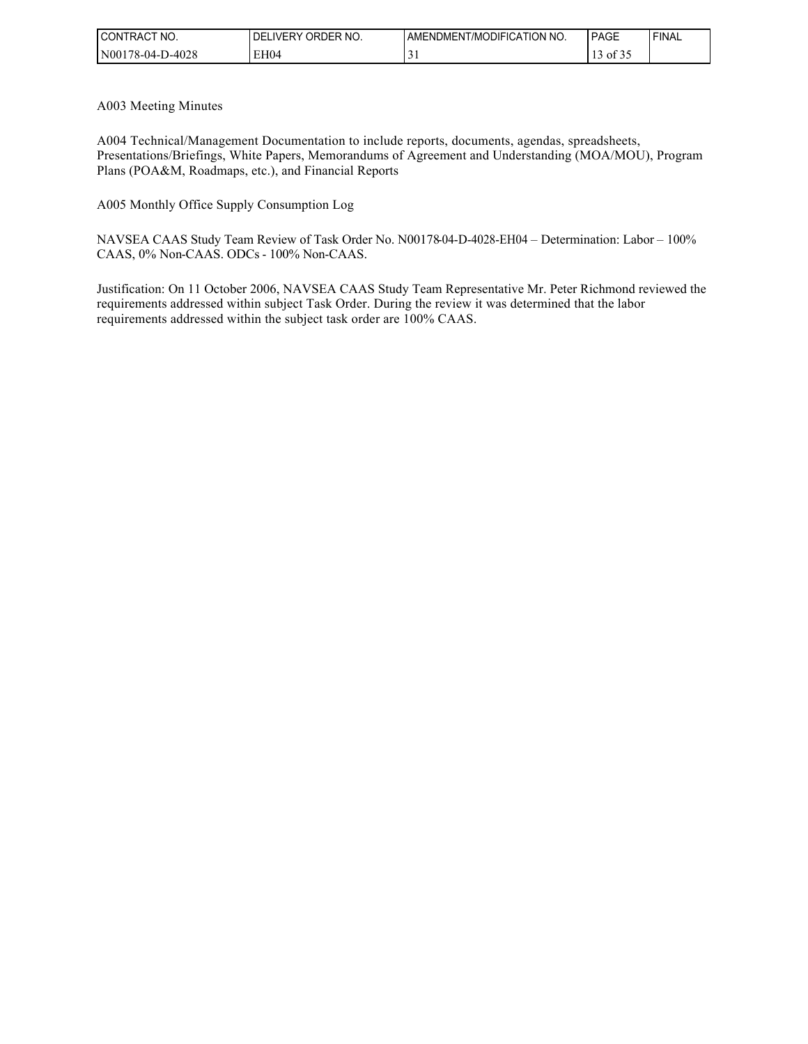| I CONTRACT NO.   | ORDER NO.<br>DEL<br>LIVERY | AMENDMENT/MODIFICATION NO. | <b>PAGE</b>              | <b>FINAL</b> |
|------------------|----------------------------|----------------------------|--------------------------|--------------|
| N00178-04-D-4028 | EH04                       | $\sim$<br>ັ                | $\mathbf{r}$<br>13 of 35 |              |

A003 Meeting Minutes

A004 Technical/Management Documentation to include reports, documents, agendas, spreadsheets, Presentations/Briefings, White Papers, Memorandums of Agreement and Understanding (MOA/MOU), Program Plans (POA&M, Roadmaps, etc.), and Financial Reports

A005 Monthly Office Supply Consumption Log

NAVSEA CAAS Study Team Review of Task Order No. N00178-04-D-4028-EH04 – Determination: Labor – 100% CAAS, 0% Non-CAAS. ODCs - 100% Non-CAAS.

Justification: On 11 October 2006, NAVSEA CAAS Study Team Representative Mr. Peter Richmond reviewed the requirements addressed within subject Task Order. During the review it was determined that the labor requirements addressed within the subject task order are 100% CAAS.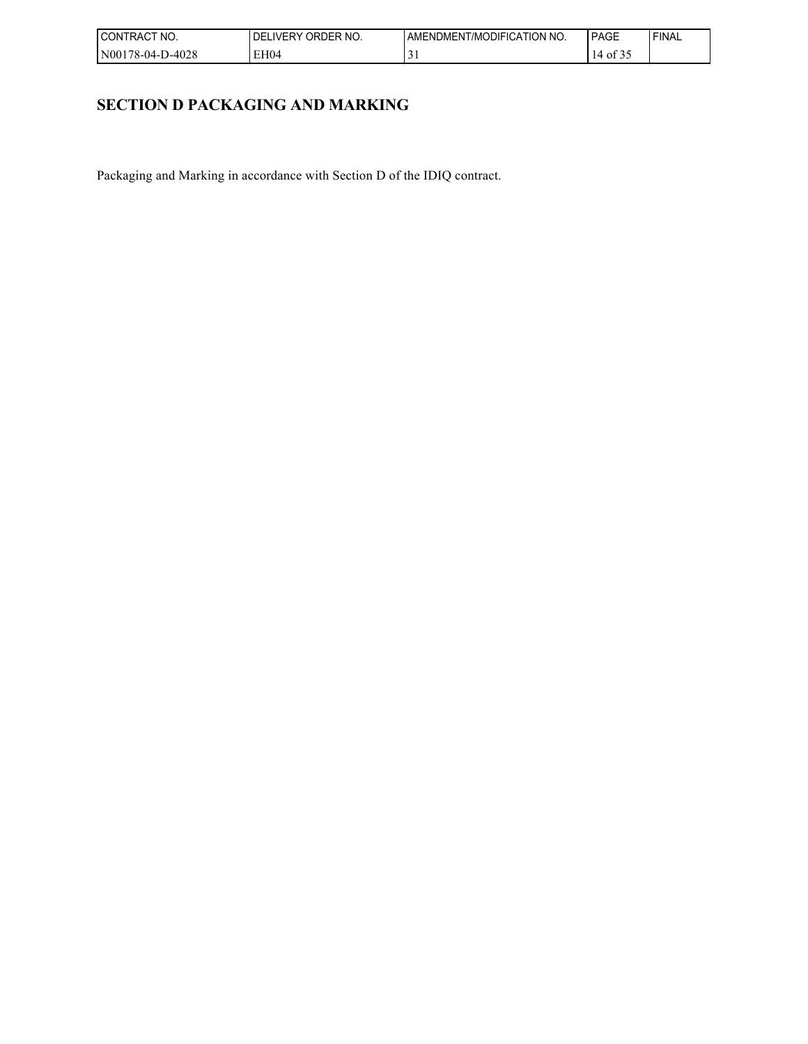| I CONTRACT<br>NO. | ORDER NO.<br><b>DELIVERY</b> | AMENDMENT/MODIFICATION NO. | PAGE                               | ' FINAL |
|-------------------|------------------------------|----------------------------|------------------------------------|---------|
| N00178-04-D-4028  | EH04                         | $\sim$<br>◡                | $\sim$ $\sim$ $\sim$<br>$14$ of 3. |         |

# **SECTION D PACKAGING AND MARKING**

Packaging and Marking in accordance with Section D of the IDIQ contract.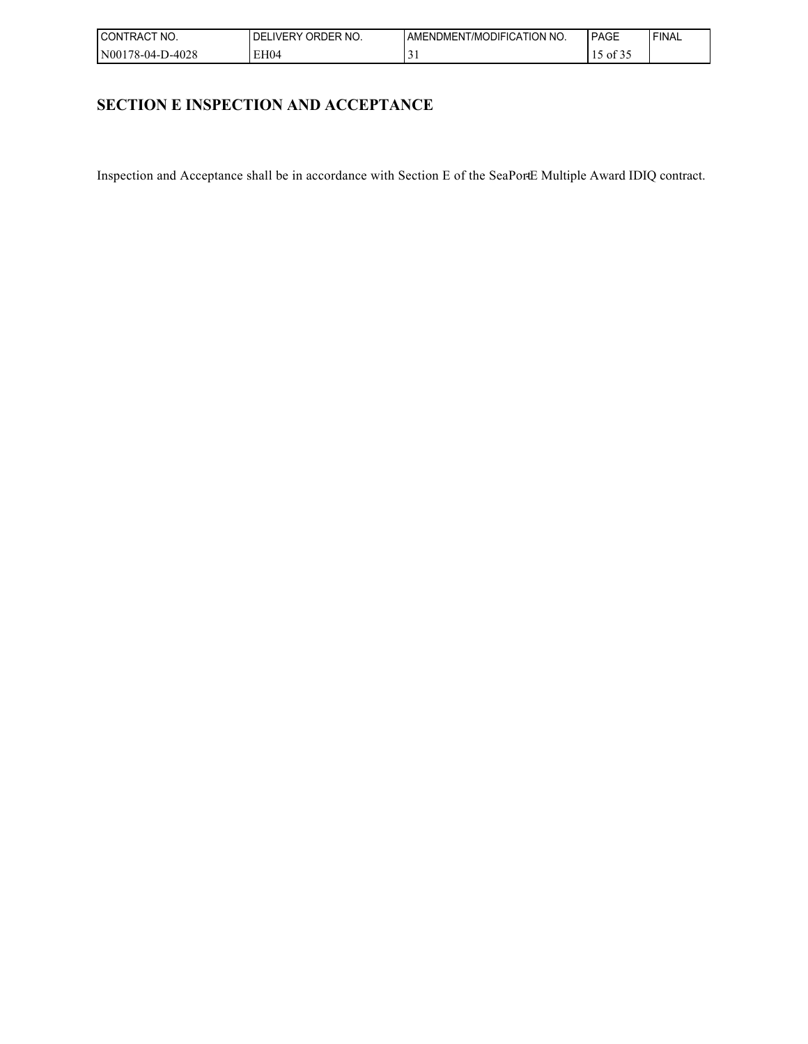| I CONTRACT<br>NO. | ORDER NO.<br><b>DELIVERY</b> | AMENDMENT/MODIFICATION NO. | PAGE                                  | ' FINAL |
|-------------------|------------------------------|----------------------------|---------------------------------------|---------|
| N00178-04-D-4028  | EH <sub>04</sub>             | $\sim$<br>◡                | $\sim$ $\sim$ $\sim$<br>ن د ot $\sim$ |         |

# **SECTION E INSPECTION AND ACCEPTANCE**

Inspection and Acceptance shall be in accordance with Section E of the SeaPortE Multiple Award IDIQ contract.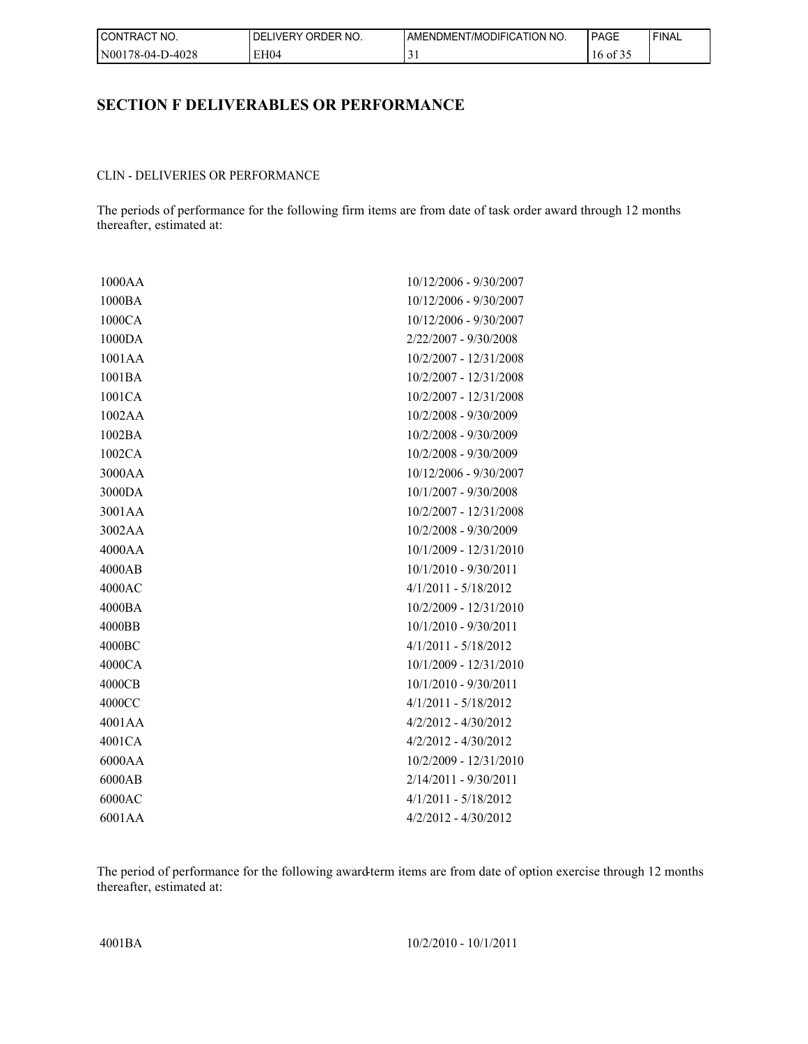| I CONTRACT<br>NO. | ORDER NO.<br><b>DELIVERY</b> | AMENDMENT/MODIFICATION NO. | PAGE     | 'FINAL |
|-------------------|------------------------------|----------------------------|----------|--------|
| N00178-04-D-4028  | EH04                         |                            | 16 of 35 |        |

## **SECTION F DELIVERABLES OR PERFORMANCE**

#### CLIN - DELIVERIES OR PERFORMANCE

The periods of performance for the following firm items are from date of task order award through 12 months thereafter, estimated at:

| 1000AA   | 10/12/2006 - 9/30/2007   |
|----------|--------------------------|
| 1000BA   | 10/12/2006 - 9/30/2007   |
| 1000CA   | 10/12/2006 - 9/30/2007   |
| 1000DA   | 2/22/2007 - 9/30/2008    |
| 1001AA   | 10/2/2007 - 12/31/2008   |
| 1001BA   | 10/2/2007 - 12/31/2008   |
| 1001CA   | 10/2/2007 - 12/31/2008   |
| 1002AA   | 10/2/2008 - 9/30/2009    |
| 1002BA   | 10/2/2008 - 9/30/2009    |
| 1002CA   | 10/2/2008 - 9/30/2009    |
| 3000AA   | 10/12/2006 - 9/30/2007   |
| 3000DA   | 10/1/2007 - 9/30/2008    |
| 3001AA   | 10/2/2007 - 12/31/2008   |
| 3002AA   | 10/2/2008 - 9/30/2009    |
| 4000AA   | $10/1/2009 - 12/31/2010$ |
| 4000AB   | $10/1/2010 - 9/30/2011$  |
| 4000AC   | $4/1/2011 - 5/18/2012$   |
| 4000BA   | 10/2/2009 - 12/31/2010   |
| 4000BB   | 10/1/2010 - 9/30/2011    |
| 4000BC   | $4/1/2011 - 5/18/2012$   |
| 4000CA   | 10/1/2009 - 12/31/2010   |
| 4000CB   | $10/1/2010 - 9/30/2011$  |
| 4000CC   | $4/1/2011 - 5/18/2012$   |
| 4001 A A | $4/2/2012 - 4/30/2012$   |
| 4001CA   | $4/2/2012 - 4/30/2012$   |
| 6000AA   | $10/2/2009 - 12/31/2010$ |
| 6000AB   | $2/14/2011 - 9/30/2011$  |
| 6000AC   | $4/1/2011 - 5/18/2012$   |
| 6001AA   | $4/2/2012 - 4/30/2012$   |

The period of performance for the following award-term items are from date of option exercise through 12 months thereafter, estimated at:

4001BA 10/2/2010 - 10/1/2011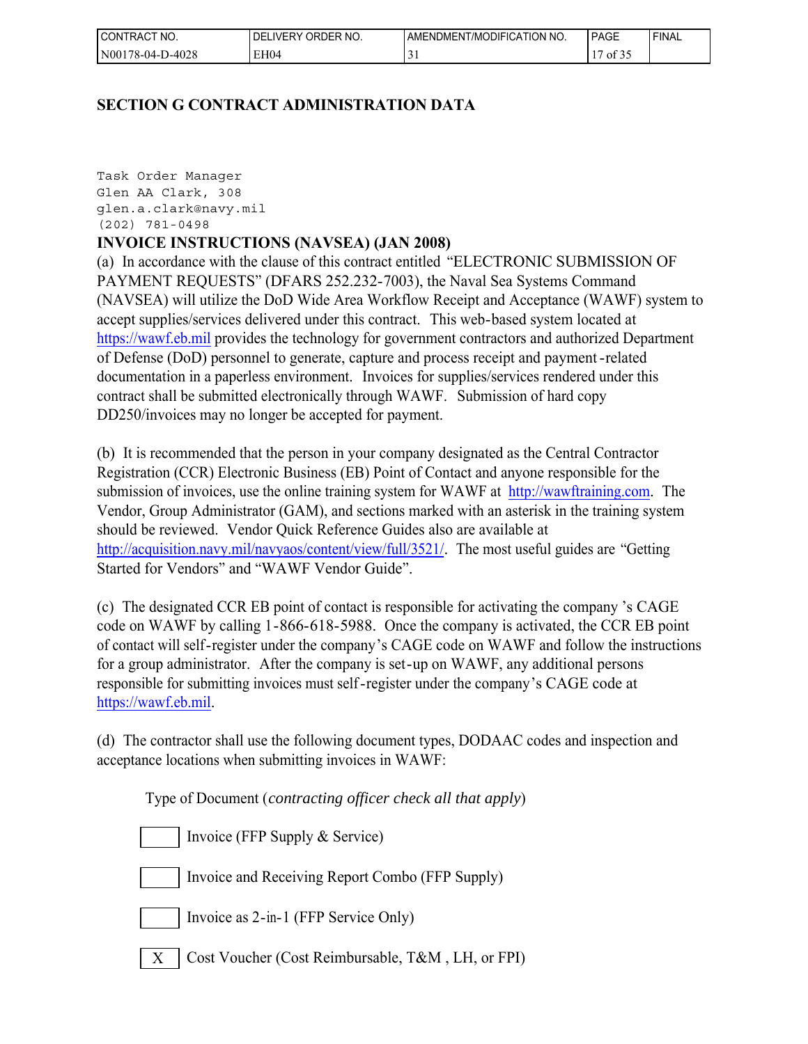| I CONTRACT<br>NO. | ORDER NO.<br><b>DELIVERY</b> | AMENDMENT/MODIFICATION NO. | <b>PAGE</b>                                       | ' FINAL |
|-------------------|------------------------------|----------------------------|---------------------------------------------------|---------|
| N00178-04-D-4028  | EH04                         |                            | $\mathbf{a}$<br>$\overline{\phantom{a}}$<br>01 32 |         |

# **SECTION G CONTRACT ADMINISTRATION DATA**

Task Order Manager Glen AA Clark, 308 glen.a.clark@navy.mil (202) 781-0498

# **INVOICE INSTRUCTIONS (NAVSEA) (JAN 2008)**

(a) In accordance with the clause of this contract entitled "ELECTRONIC SUBMISSION OF PAYMENT REQUESTS" (DFARS 252.232-7003), the Naval Sea Systems Command (NAVSEA) will utilize the DoD Wide Area Workflow Receipt and Acceptance (WAWF) system to accept supplies/services delivered under this contract. This web-based system located at [https://wawf.eb.mil](https://wawf.eb.mil/) provides the technology for government contractors and authorized Department of Defense (DoD) personnel to generate, capture and process receipt and payment-related documentation in a paperless environment. Invoices for supplies/services rendered under this contract shall be submitted electronically through WAWF. Submission of hard copy DD250/invoices may no longer be accepted for payment.

(b) It is recommended that the person in your company designated as the Central Contractor Registration (CCR) Electronic Business (EB) Point of Contact and anyone responsible for the submission of invoices, use the online training system for WAWF at [http://wawftraining.com.](http://wawftraining.com/) The Vendor, Group Administrator (GAM), and sections marked with an asterisk in the training system should be reviewed. Vendor Quick Reference Guides also are available at [http://acquisition.navy.mil/navyaos/content/view/full/3521/.](http://acquisition.navy.mil/navyaos/content/view/full/3521/) The most useful guides are "Getting Started for Vendors" and "WAWF Vendor Guide".

(c) The designated CCR EB point of contact is responsible for activating the company 's CAGE code on WAWF by calling 1-866-618-5988. Once the company is activated, the CCR EB point of contact will self-register under the company's CAGE code on WAWF and follow the instructions for a group administrator. After the company is set-up on WAWF, any additional persons responsible for submitting invoices must self-register under the company's CAGE code at [https://wawf.eb.mil.](https://wawf.eb.mil/)

(d) The contractor shall use the following document types, DODAAC codes and inspection and acceptance locations when submitting invoices in WAWF:

Type of Document (*contracting officer check all that apply*)

- Invoice (FFP Supply & Service)
	- Invoice and Receiving Report Combo (FFP Supply)
- Invoice as 2-in-1 (FFP Service Only)
- $X \mid \text{Cost Vouter (Cost Reinbursable, T&M, LH, or FPI)}$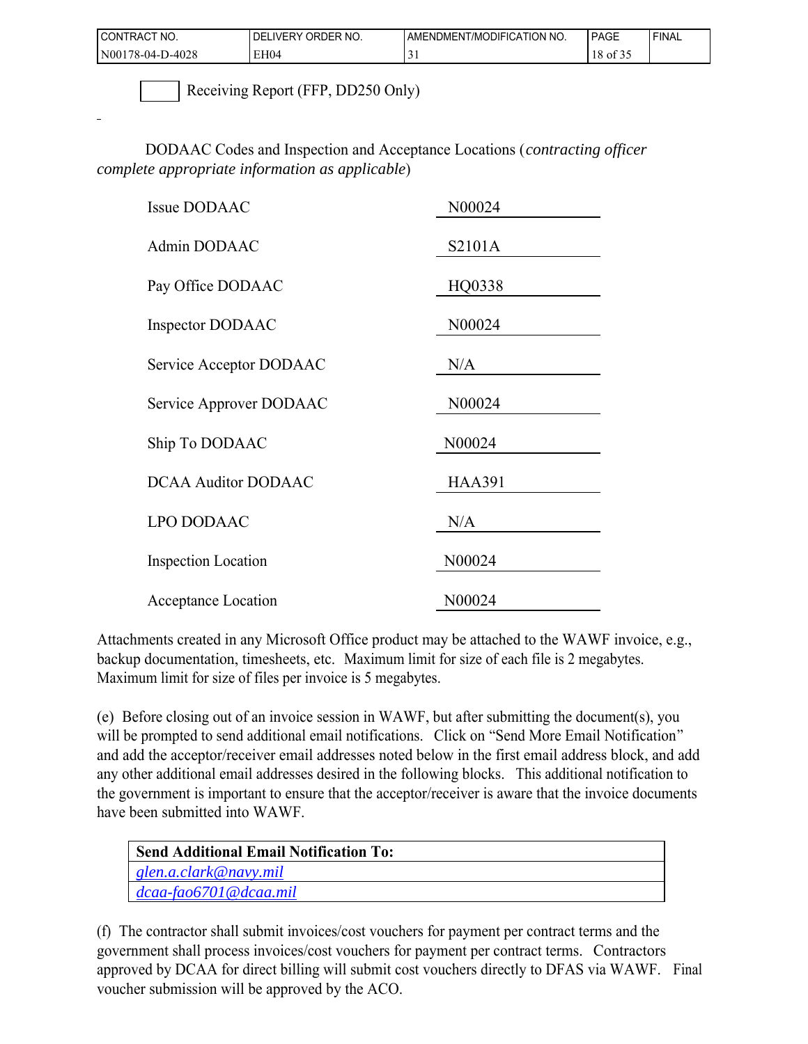| I CONTRACT NO.   | ORDER NO.<br><b>LIVERY</b><br>DEL | AMENDMENT/MODIFICATION NO. | PAGE     | <b>FINAL</b> |
|------------------|-----------------------------------|----------------------------|----------|--------------|
| N00178-04-D-4028 | EH04                              | ້                          | 18 of 35 |              |

Receiving Report (FFP, DD250 Only)

DODAAC Codes and Inspection and Acceptance Locations (*contracting officer complete appropriate information as applicable*)

| N00024        |
|---------------|
| S2101A        |
| HQ0338        |
| N00024        |
| N/A           |
| N00024        |
| N00024        |
| <b>HAA391</b> |
| N/A           |
| N00024        |
| N00024        |
|               |

Attachments created in any Microsoft Office product may be attached to the WAWF invoice, e.g., backup documentation, timesheets, etc. Maximum limit for size of each file is 2 megabytes. Maximum limit for size of files per invoice is 5 megabytes.

(e) Before closing out of an invoice session in WAWF, but after submitting the document(s), you will be prompted to send additional email notifications. Click on "Send More Email Notification" and add the acceptor/receiver email addresses noted below in the first email address block, and add any other additional email addresses desired in the following blocks. This additional notification to the government is important to ensure that the acceptor/receiver is aware that the invoice documents have been submitted into WAWF.

| <b>Send Additional Email Notification To:</b> |  |
|-----------------------------------------------|--|
| $\lceil$ glen.a.clark@navy.mil                |  |
| $\int dcaa-fao6701@dcaa.mil$                  |  |

(f) The contractor shall submit invoices/cost vouchers for payment per contract terms and the government shall process invoices/cost vouchers for payment per contract terms. Contractors approved by DCAA for direct billing will submit cost vouchers directly to DFAS via WAWF. Final voucher submission will be approved by the ACO.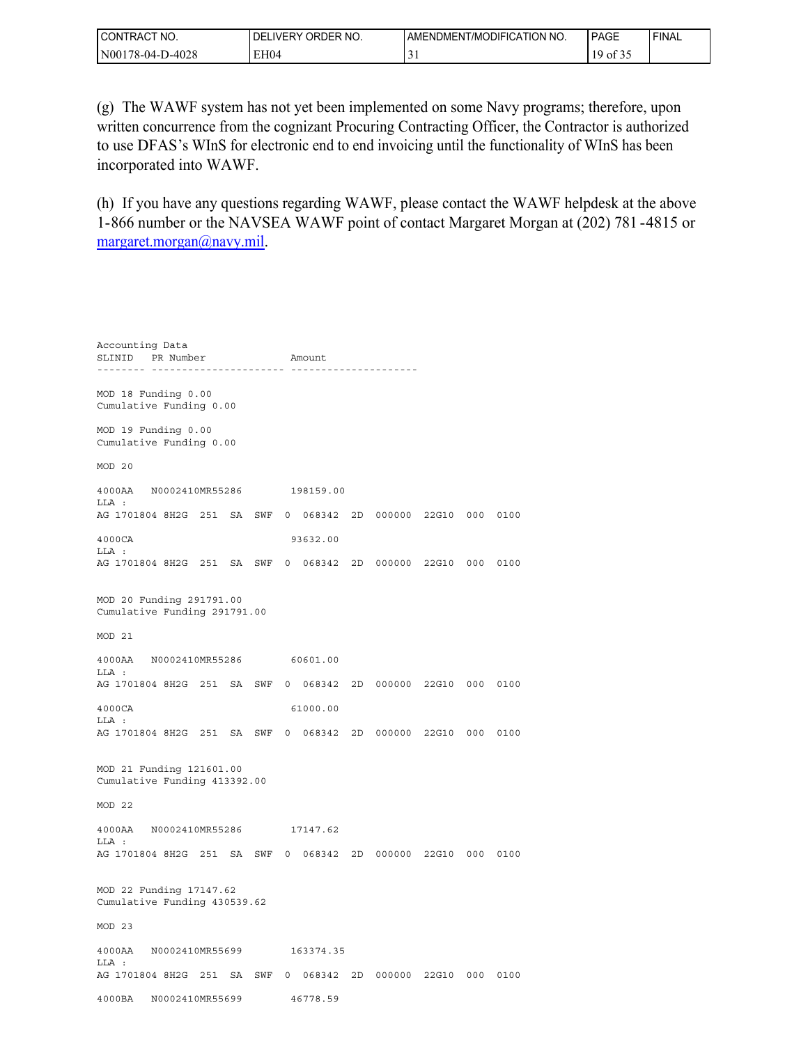| <b>CONTRACT</b><br>NO. | ORDER NO.<br>DEL<br>LIVERY | AMENDMENT/MODIFICATION NO. | <b>PAGE</b> | 'FINAL |
|------------------------|----------------------------|----------------------------|-------------|--------|
| N00178-04-D-4028       | EH04                       |                            | 01.32       |        |

(g) The WAWF system has not yet been implemented on some Navy programs; therefore, upon written concurrence from the cognizant Procuring Contracting Officer, the Contractor is authorized to use DFAS's WInS for electronic end to end invoicing until the functionality of WInS has been incorporated into WAWF.

(h) If you have any questions regarding WAWF, please contact the WAWF helpdesk at the above 1-866 number or the NAVSEA WAWF point of contact Margaret Morgan at (202) 781 -4815 or [margaret.morgan@navy.mil](mailto:margaret.morgan@navy.mil).

Accounting Data SLINID PR Number Amount -------- ---------------------- --------------------- MOD 18 Funding 0.00 Cumulative Funding 0.00 MOD 19 Funding 0.00 Cumulative Funding 0.00 MOD 20 4000AA N0002410MR55286 198159.00 LLA : AG 1701804 8H2G 251 SA SWF 0 068342 2D 000000 22G10 000 0100 4000CA 93632.00 LLA : AG 1701804 8H2G 251 SA SWF 0 068342 2D 000000 22G10 000 0100 MOD 20 Funding 291791.00 Cumulative Funding 291791.00 MOD 21 4000AA N0002410MR55286 60601.00 LLA : AG 1701804 8H2G 251 SA SWF 0 068342 2D 000000 22G10 000 0100 4000CA 61000.00 LLA : AG 1701804 8H2G 251 SA SWF 0 068342 2D 000000 22G10 000 0100 MOD 21 Funding 121601.00 Cumulative Funding 413392.00 MOD 22 4000AA N0002410MR55286 17147.62 LLA : AG 1701804 8H2G 251 SA SWF 0 068342 2D 000000 22G10 000 0100 MOD 22 Funding 17147.62 Cumulative Funding 430539.62 MOD 23 4000AA N0002410MR55699 163374.35 LLA : AG 1701804 8H2G 251 SA SWF 0 068342 2D 000000 22G10 000 0100 4000BA N0002410MR55699 46778.59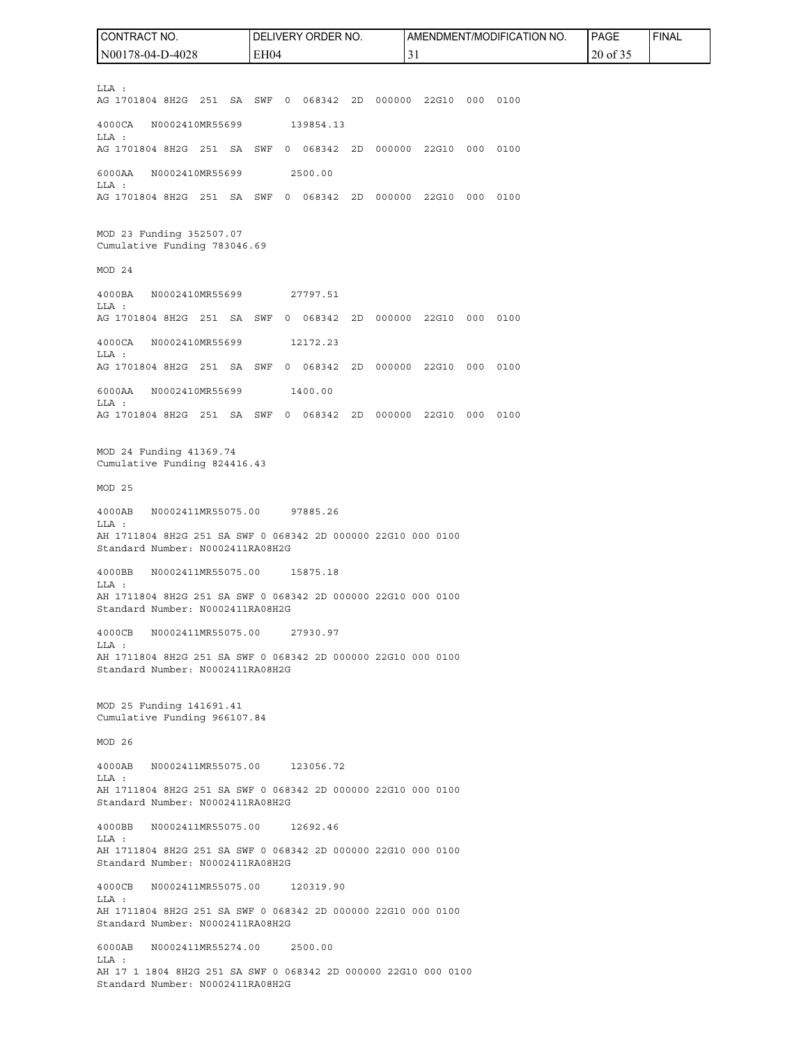LLA : AG 1701804 8H2G 251 SA SWF 0 068342 2D 000000 22G10 000 0100 4000CA N0002410MR55699 139854.13 LLA : AG 1701804 8H2G 251 SA SWF 0 068342 2D 000000 22G10 000 0100 6000AA N0002410MR55699 2500.00 LLA : AG 1701804 8H2G 251 SA SWF 0 068342 2D 000000 22G10 000 0100 MOD 23 Funding 352507.07 Cumulative Funding 783046.69 MOD 24 4000BA N0002410MR55699 27797.51 LLA : AG 1701804 8H2G 251 SA SWF 0 068342 2D 000000 22G10 000 0100 4000CA N0002410MR55699 12172.23 LLA : AG 1701804 8H2G 251 SA SWF 0 068342 2D 000000 22G10 000 0100 6000AA N0002410MR55699 1400.00 LLA : AG 1701804 8H2G 251 SA SWF 0 068342 2D 000000 22G10 000 0100 MOD 24 Funding 41369.74 Cumulative Funding 824416.43 MOD 25 4000AB N0002411MR55075.00 97885.26 LLA : AH 1711804 8H2G 251 SA SWF 0 068342 2D 000000 22G10 000 0100 Standard Number: N0002411RA08H2G 4000BB N0002411MR55075.00 15875.18 LLA : AH 1711804 8H2G 251 SA SWF 0 068342 2D 000000 22G10 000 0100 Standard Number: N0002411RA08H2G 4000CB N0002411MR55075.00 27930.97 LLA : AH 1711804 8H2G 251 SA SWF 0 068342 2D 000000 22G10 000 0100 Standard Number: N0002411RA08H2G MOD 25 Funding 141691.41 Cumulative Funding 966107.84 MOD 26 4000AB N0002411MR55075.00 123056.72  $T.T.A$   $\cdot$ AH 1711804 8H2G 251 SA SWF 0 068342 2D 000000 22G10 000 0100 Standard Number: N0002411RA08H2G 4000BB N0002411MR55075.00 12692.46 LLA : AH 1711804 8H2G 251 SA SWF 0 068342 2D 000000 22G10 000 0100 Standard Number: N0002411RA08H2G 4000CB N0002411MR55075.00 120319.90 LLA : AH 1711804 8H2G 251 SA SWF 0 068342 2D 000000 22G10 000 0100 Standard Number: N0002411RA08H2G 6000AB N0002411MR55274.00 2500.00 LLA : AH 17 1 1804 8H2G 251 SA SWF 0 068342 2D 000000 22G10 000 0100 Standard Number: N0002411RA08H2G CONTRACT NO. N00178-04-D-4028 DELIVERY ORDER NO. EH04 AMENDMENT/MODIFICATION NO. 31 PAGE 20 of 35 FINAL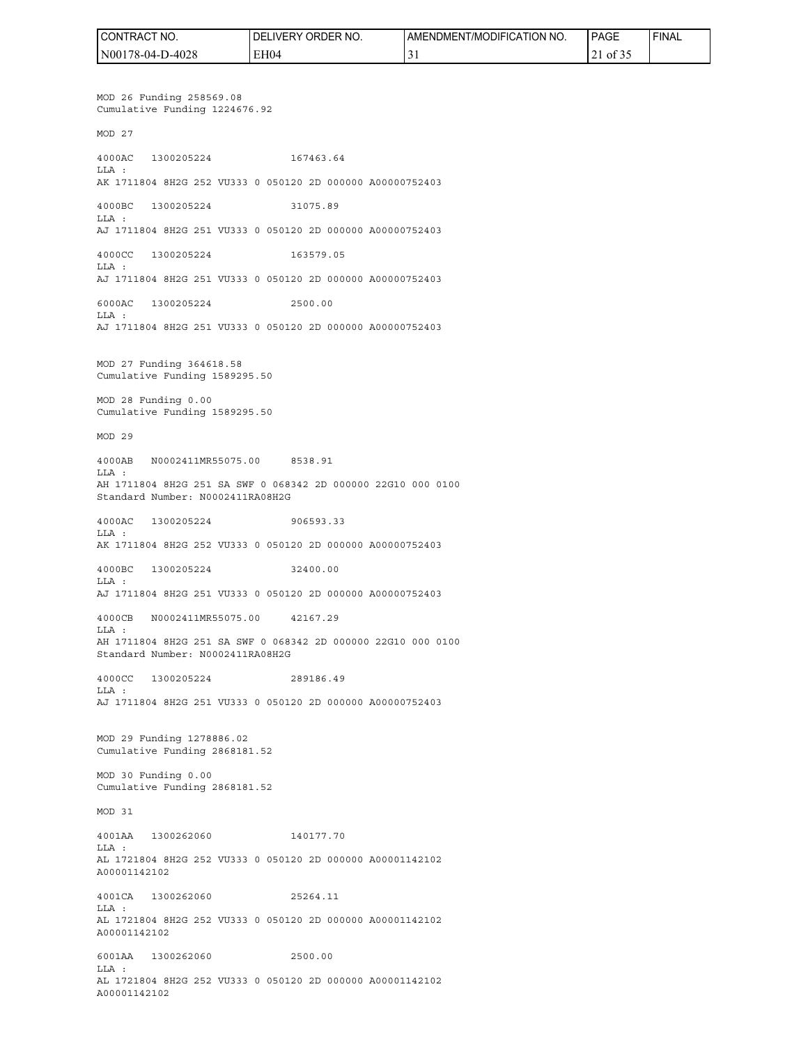| I CONTRACT<br>'NO. | ' ORDER NO.<br>_IVERY<br>DELI | <b>LAMENDMENT/MODIFICATION NO.</b> | l PAGE                    | 'FINAL |
|--------------------|-------------------------------|------------------------------------|---------------------------|--------|
| N00178-04-D-4028   | EH04                          |                                    | $\cdot$ of 3.<br>$\sim$ 1 |        |

MOD 26 Funding 258569.08 Cumulative Funding 1224676.92 MOD 27 4000AC 1300205224 167463.64 LLA : AK 1711804 8H2G 252 VU333 0 050120 2D 000000 A00000752403 4000BC 1300205224 31075.89 LLA : AJ 1711804 8H2G 251 VU333 0 050120 2D 000000 A00000752403 4000CC 1300205224 163579.05 LLA : AJ 1711804 8H2G 251 VU333 0 050120 2D 000000 A00000752403 6000AC 1300205224 2500.00 LLA : AJ 1711804 8H2G 251 VU333 0 050120 2D 000000 A00000752403 MOD 27 Funding 364618.58 Cumulative Funding 1589295.50 MOD 28 Funding 0.00 Cumulative Funding 1589295.50 MOD 29 4000AB N0002411MR55075.00 8538.91 LLA : AH 1711804 8H2G 251 SA SWF 0 068342 2D 000000 22G10 000 0100 Standard Number: N0002411RA08H2G 4000AC 1300205224 906593.33 LLA : AK 1711804 8H2G 252 VU333 0 050120 2D 000000 A00000752403 4000BC 1300205224 32400.00 LLA : AJ 1711804 8H2G 251 VU333 0 050120 2D 000000 A00000752403 4000CB N0002411MR55075.00 42167.29 LLA : AH 1711804 8H2G 251 SA SWF 0 068342 2D 000000 22G10 000 0100 Standard Number: N0002411RA08H2G 4000CC 1300205224 289186.49 LLA : AJ 1711804 8H2G 251 VU333 0 050120 2D 000000 A00000752403 MOD 29 Funding 1278886.02 Cumulative Funding 2868181.52 MOD 30 Funding 0.00 Cumulative Funding 2868181.52 MOD 31 4001AA 1300262060 140177.70 LLA : AL 1721804 8H2G 252 VU333 0 050120 2D 000000 A00001142102 A00001142102 4001CA 1300262060 25264.11 LLA : AL 1721804 8H2G 252 VU333 0 050120 2D 000000 A00001142102 A00001142102 6001AA 1300262060 2500.00  $T.T.A$  : AL 1721804 8H2G 252 VU333 0 050120 2D 000000 A00001142102

A00001142102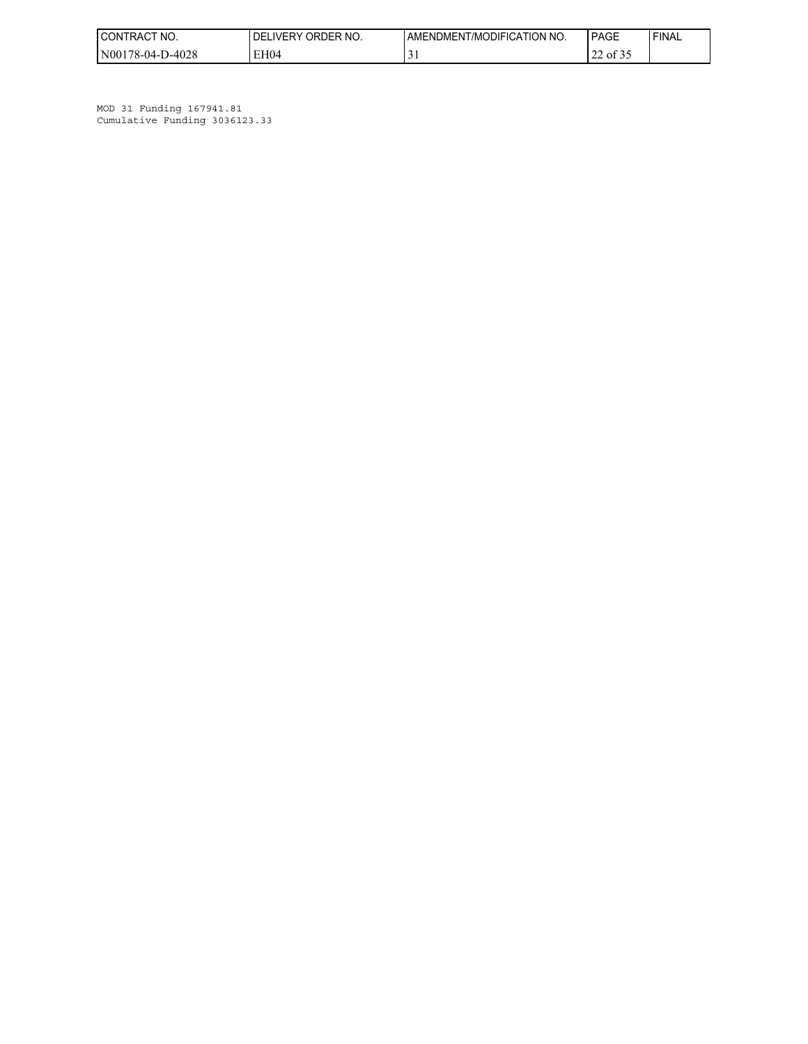| <b>CONTRACT</b><br>'NO. | ORDER NO.<br><b>IVERY</b><br><b>DELI</b> | AMENDMENT/MODIFICATION NO. | PAGE                                         | ' FINAL |
|-------------------------|------------------------------------------|----------------------------|----------------------------------------------|---------|
| N00178-04-D-4028        | EH <sub>04</sub>                         | ◡                          | $\sim$ $\sim$ $\sim$<br>$\sim$<br>01.32<br>∸ |         |

MOD 31 Funding 167941.81 Cumulative Funding 3036123.33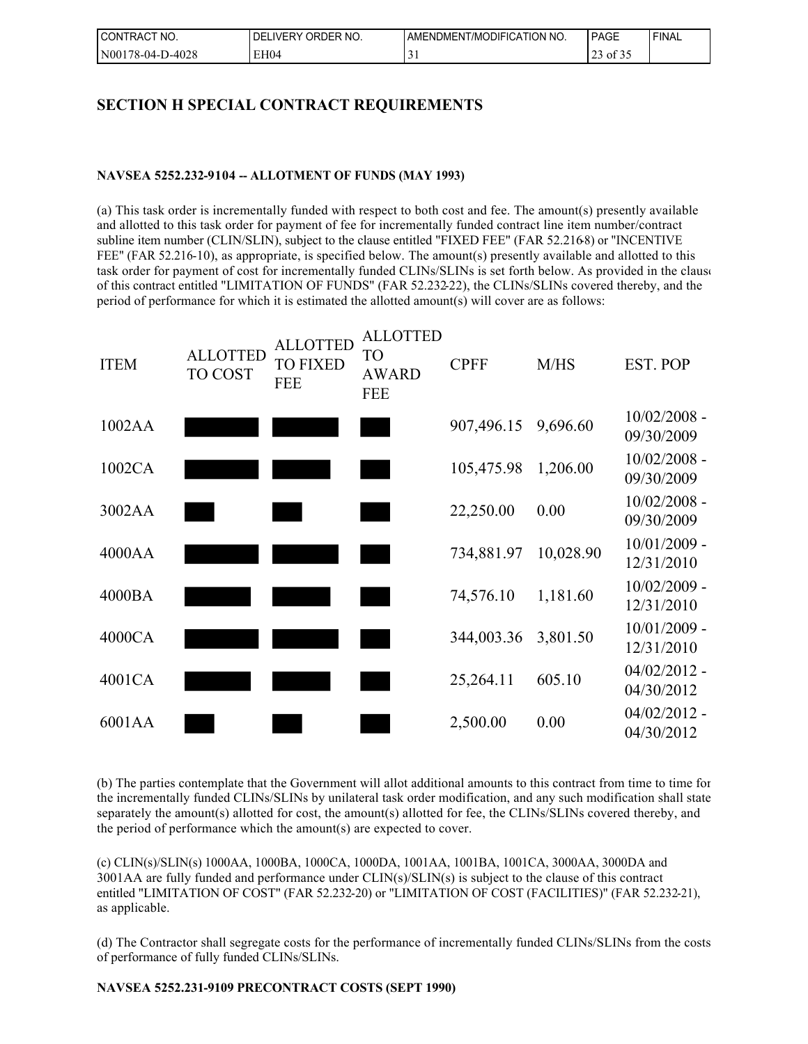| I CONTRACT<br>NO. | ORDER NO.<br><b>DELIVERY</b> | AMENDMENT/MODIFICATION NO. | PAGE                                       | ' FINAL |
|-------------------|------------------------------|----------------------------|--------------------------------------------|---------|
| N00178-04-D-4028  | EH04                         | ັ                          | $\sim$ $\sim$ $\sim$<br>$73$ of $5.$<br>رے |         |

# **SECTION H SPECIAL CONTRACT REQUIREMENTS**

#### **NAVSEA 5252.232-9104 -- ALLOTMENT OF FUNDS (MAY 1993)**

(a) This task order is incrementally funded with respect to both cost and fee. The amount(s) presently available and allotted to this task order for payment of fee for incrementally funded contract line item number/contract subline item number (CLIN/SLIN), subject to the clause entitled "FIXED FEE" (FAR 52.2168) or "INCENTIVE FEE" (FAR 52.216-10), as appropriate, is specified below. The amount(s) presently available and allotted to this task order for payment of cost for incrementally funded CLINs/SLINs is set forth below. As provided in the clause of this contract entitled "LIMITATION OF FUNDS" (FAR 52.232-22), the CLINs/SLINs covered thereby, and the period of performance for which it is estimated the allotted amount(s) will cover are as follows:



(b) The parties contemplate that the Government will allot additional amounts to this contract from time to time for the incrementally funded CLINs/SLINs by unilateral task order modification, and any such modification shall state separately the amount(s) allotted for cost, the amount(s) allotted for fee, the CLINs/SLINs covered thereby, and the period of performance which the amount(s) are expected to cover.

(c) CLIN(s)/SLIN(s) 1000AA, 1000BA, 1000CA, 1000DA, 1001AA, 1001BA, 1001CA, 3000AA, 3000DA and 3001AA are fully funded and performance under CLIN(s)/SLIN(s) is subject to the clause of this contract entitled "LIMITATION OF COST" (FAR 52.232-20) or "LIMITATION OF COST (FACILITIES)" (FAR 52.232-21), as applicable.

(d) The Contractor shall segregate costs for the performance of incrementally funded CLINs/SLINs from the costs of performance of fully funded CLINs/SLINs.

#### **NAVSEA 5252.231-9109 PRECONTRACT COSTS (SEPT 1990)**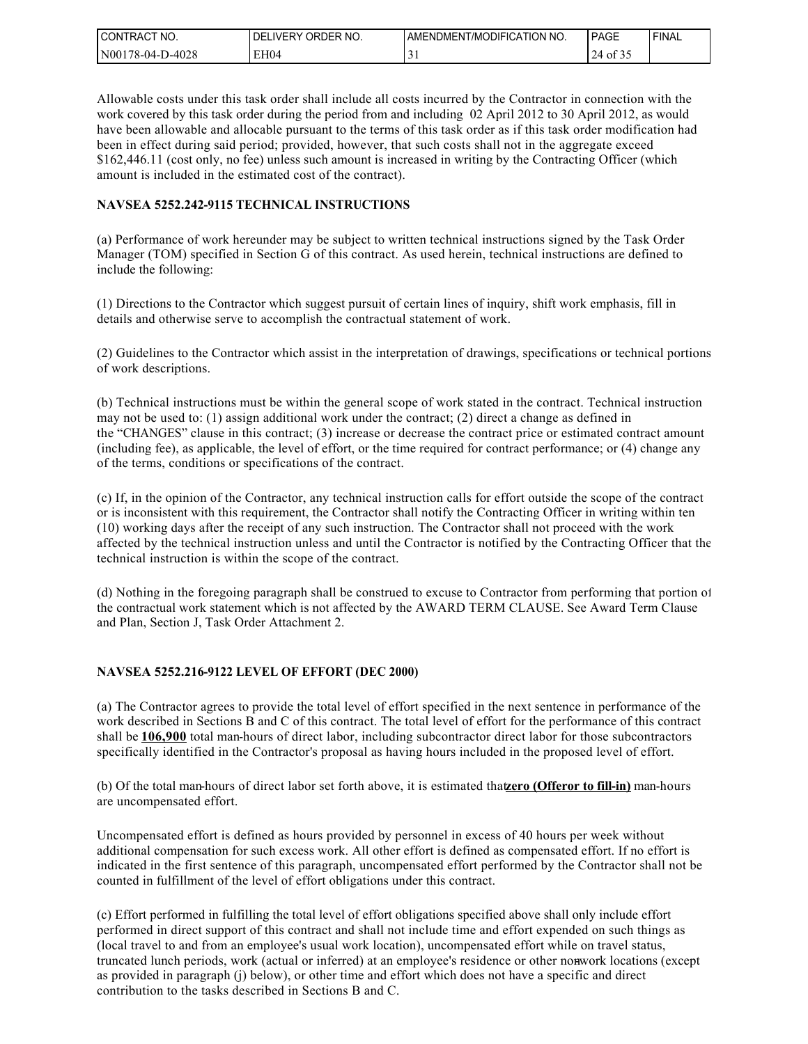| I CONTRACT NO.   | ORDER NO.<br>DEL<br>LIVERY | AMENDMENT/MODIFICATION NO. | PAGE             | ' FINAL |
|------------------|----------------------------|----------------------------|------------------|---------|
| N00178-04-D-4028 | EH04                       |                            | $124$ of $\circ$ |         |

Allowable costs under this task order shall include all costs incurred by the Contractor in connection with the work covered by this task order during the period from and including 02 April 2012 to 30 April 2012, as would have been allowable and allocable pursuant to the terms of this task order as if this task order modification had been in effect during said period; provided, however, that such costs shall not in the aggregate exceed \$162,446.11 (cost only, no fee) unless such amount is increased in writing by the Contracting Officer (which amount is included in the estimated cost of the contract).

#### **NAVSEA 5252.242-9115 TECHNICAL INSTRUCTIONS**

(a) Performance of work hereunder may be subject to written technical instructions signed by the Task Order Manager (TOM) specified in Section G of this contract. As used herein, technical instructions are defined to include the following:

(1) Directions to the Contractor which suggest pursuit of certain lines of inquiry, shift work emphasis, fill in details and otherwise serve to accomplish the contractual statement of work.

(2) Guidelines to the Contractor which assist in the interpretation of drawings, specifications or technical portions of work descriptions.

(b) Technical instructions must be within the general scope of work stated in the contract. Technical instruction may not be used to: (1) assign additional work under the contract; (2) direct a change as defined in the "CHANGES" clause in this contract; (3) increase or decrease the contract price or estimated contract amount (including fee), as applicable, the level of effort, or the time required for contract performance; or (4) change any of the terms, conditions or specifications of the contract.

(c) If, in the opinion of the Contractor, any technical instruction calls for effort outside the scope of the contract or is inconsistent with this requirement, the Contractor shall notify the Contracting Officer in writing within ten (10) working days after the receipt of any such instruction. The Contractor shall not proceed with the work affected by the technical instruction unless and until the Contractor is notified by the Contracting Officer that the technical instruction is within the scope of the contract.

(d) Nothing in the foregoing paragraph shall be construed to excuse to Contractor from performing that portion of the contractual work statement which is not affected by the AWARD TERM CLAUSE. See Award Term Clause and Plan, Section J, Task Order Attachment 2.

#### **NAVSEA 5252.216-9122 LEVEL OF EFFORT (DEC 2000)**

(a) The Contractor agrees to provide the total level of effort specified in the next sentence in performance of the work described in Sections B and C of this contract. The total level of effort for the performance of this contract shall be **106,900** total man-hours of direct labor, including subcontractor direct labor for those subcontractors specifically identified in the Contractor's proposal as having hours included in the proposed level of effort.

(b) Of the total man-hours of direct labor set forth above, it is estimated that **zero (Offeror to fill-in)** man-hours are uncompensated effort.

Uncompensated effort is defined as hours provided by personnel in excess of 40 hours per week without additional compensation for such excess work. All other effort is defined as compensated effort. If no effort is indicated in the first sentence of this paragraph, uncompensated effort performed by the Contractor shall not be counted in fulfillment of the level of effort obligations under this contract.

(c) Effort performed in fulfilling the total level of effort obligations specified above shall only include effort performed in direct support of this contract and shall not include time and effort expended on such things as (local travel to and from an employee's usual work location), uncompensated effort while on travel status, truncated lunch periods, work (actual or inferred) at an employee's residence or other nonwork locations (except as provided in paragraph (j) below), or other time and effort which does not have a specific and direct contribution to the tasks described in Sections B and C.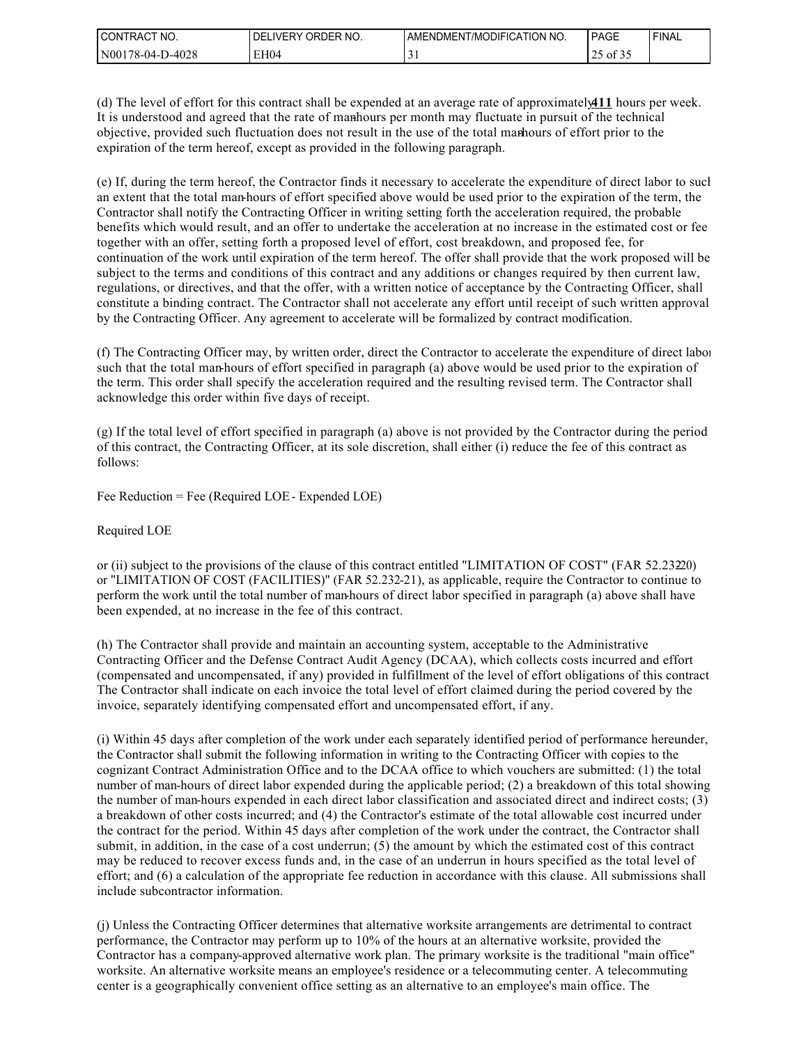| NO.<br><b>CONTRACT</b><br>$\mathcal{L}$ | ORDER NO.<br><b>DELIVERY</b> | AMENDMENT/MODIFICATION NO. | PAGE                | ' FINAL |
|-----------------------------------------|------------------------------|----------------------------|---------------------|---------|
| N00178-04-D-4028                        | EH <sub>04</sub>             | $\sim$<br>້                | 0.25<br>of 32<br>رے |         |

(d) The level of effort for this contract shall be expended at an average rate of approximately **411** hours per week. It is understood and agreed that the rate of manhours per month may fluctuate in pursuit of the technical objective, provided such fluctuation does not result in the use of the total marhours of effort prior to the expiration of the term hereof, except as provided in the following paragraph.

(e) If, during the term hereof, the Contractor finds it necessary to accelerate the expenditure of direct labor to such an extent that the total man-hours of effort specified above would be used prior to the expiration of the term, the Contractor shall notify the Contracting Officer in writing setting forth the acceleration required, the probable benefits which would result, and an offer to undertake the acceleration at no increase in the estimated cost or fee together with an offer, setting forth a proposed level of effort, cost breakdown, and proposed fee, for continuation of the work until expiration of the term hereof. The offer shall provide that the work proposed will be subject to the terms and conditions of this contract and any additions or changes required by then current law, regulations, or directives, and that the offer, with a written notice of acceptance by the Contracting Officer, shall constitute a binding contract. The Contractor shall not accelerate any effort until receipt of such written approval by the Contracting Officer. Any agreement to accelerate will be formalized by contract modification.

(f) The Contracting Officer may, by written order, direct the Contractor to accelerate the expenditure of direct labor such that the total man-hours of effort specified in paragraph (a) above would be used prior to the expiration of the term. This order shall specify the acceleration required and the resulting revised term. The Contractor shall acknowledge this order within five days of receipt.

(g) If the total level of effort specified in paragraph (a) above is not provided by the Contractor during the period of this contract, the Contracting Officer, at its sole discretion, shall either (i) reduce the fee of this contract as follows:

Fee Reduction = Fee (Required LOE - Expended LOE)

Required LOE

or (ii) subject to the provisions of the clause of this contract entitled "LIMITATION OF COST" (FAR 52.2320) or "LIMITATION OF COST (FACILITIES)" (FAR 52.232-21), as applicable, require the Contractor to continue to perform the work until the total number of man-hours of direct labor specified in paragraph (a) above shall have been expended, at no increase in the fee of this contract.

(h) The Contractor shall provide and maintain an accounting system, acceptable to the Administrative Contracting Officer and the Defense Contract Audit Agency (DCAA), which collects costs incurred and effort (compensated and uncompensated, if any) provided in fulfillment of the level of effort obligations of this contract. The Contractor shall indicate on each invoice the total level of effort claimed during the period covered by the invoice, separately identifying compensated effort and uncompensated effort, if any.

(i) Within 45 days after completion of the work under each separately identified period of performance hereunder, the Contractor shall submit the following information in writing to the Contracting Officer with copies to the cognizant Contract Administration Office and to the DCAA office to which vouchers are submitted: (1) the total number of man-hours of direct labor expended during the applicable period; (2) a breakdown of this total showing the number of man-hours expended in each direct labor classification and associated direct and indirect costs; (3) a breakdown of other costs incurred; and (4) the Contractor's estimate of the total allowable cost incurred under the contract for the period. Within 45 days after completion of the work under the contract, the Contractor shall submit, in addition, in the case of a cost underrun; (5) the amount by which the estimated cost of this contract may be reduced to recover excess funds and, in the case of an underrun in hours specified as the total level of effort; and (6) a calculation of the appropriate fee reduction in accordance with this clause. All submissions shall include subcontractor information.

(j) Unless the Contracting Officer determines that alternative worksite arrangements are detrimental to contract performance, the Contractor may perform up to 10% of the hours at an alternative worksite, provided the Contractor has a company-approved alternative work plan. The primary worksite is the traditional "main office" worksite. An alternative worksite means an employee's residence or a telecommuting center. A telecommuting center is a geographically convenient office setting as an alternative to an employee's main office. The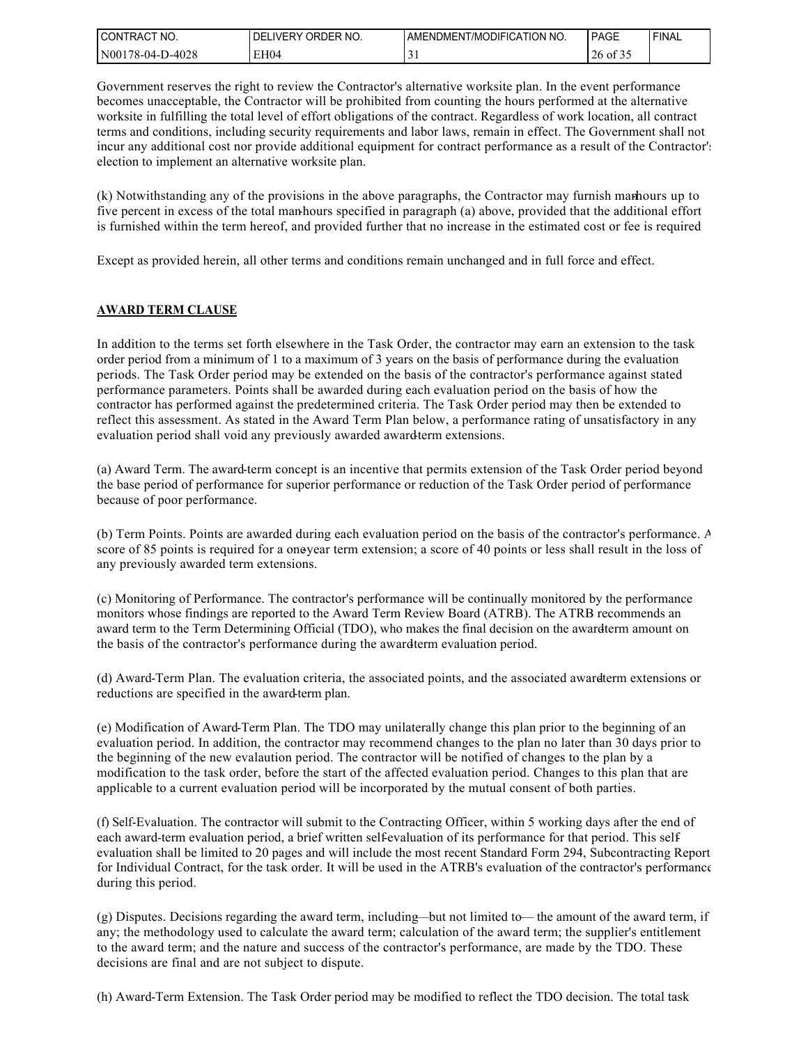| I CONTRACT NO.   | ' ORDER NO.<br><b>DELIVERY</b> | AMENDMENT/MODIFICATION NO. | PAGE                             | 'FINAL |
|------------------|--------------------------------|----------------------------|----------------------------------|--------|
| N00178-04-D-4028 | EH04                           |                            | $\sim$ $\sim$ $\sim$<br>26 of 35 |        |

Government reserves the right to review the Contractor's alternative worksite plan. In the event performance becomes unacceptable, the Contractor will be prohibited from counting the hours performed at the alternative worksite in fulfilling the total level of effort obligations of the contract. Regardless of work location, all contract terms and conditions, including security requirements and labor laws, remain in effect. The Government shall not incur any additional cost nor provide additional equipment for contract performance as a result of the Contractor's election to implement an alternative worksite plan.

(k) Notwithstanding any of the provisions in the above paragraphs, the Contractor may furnish marhours up to five percent in excess of the total man-hours specified in paragraph (a) above, provided that the additional effort is furnished within the term hereof, and provided further that no increase in the estimated cost or fee is required

Except as provided herein, all other terms and conditions remain unchanged and in full force and effect.

#### **AWARD TERM CLAUSE**

In addition to the terms set forth elsewhere in the Task Order, the contractor may earn an extension to the task order period from a minimum of 1 to a maximum of 3 years on the basis of performance during the evaluation periods. The Task Order period may be extended on the basis of the contractor's performance against stated performance parameters. Points shall be awarded during each evaluation period on the basis of how the contractor has performed against the predetermined criteria. The Task Order period may then be extended to reflect this assessment. As stated in the Award Term Plan below, a performance rating of unsatisfactory in any evaluation period shall void any previously awarded award-term extensions.

(a) Award Term. The award-term concept is an incentive that permits extension of the Task Order period beyond the base period of performance for superior performance or reduction of the Task Order period of performance because of poor performance.

(b) Term Points. Points are awarded during each evaluation period on the basis of the contractor's performance. A score of 85 points is required for a one-year term extension; a score of 40 points or less shall result in the loss of any previously awarded term extensions.

(c) Monitoring of Performance. The contractor's performance will be continually monitored by the performance monitors whose findings are reported to the Award Term Review Board (ATRB). The ATRB recommends an award term to the Term Determining Official (TDO), who makes the final decision on the award-term amount on the basis of the contractor's performance during the award-term evaluation period.

(d) Award-Term Plan. The evaluation criteria, the associated points, and the associated award-term extensions or reductions are specified in the award-term plan.

(e) Modification of Award-Term Plan. The TDO may unilaterally change this plan prior to the beginning of an evaluation period. In addition, the contractor may recommend changes to the plan no later than 30 days prior to the beginning of the new evalaution period. The contractor will be notified of changes to the plan by a modification to the task order, before the start of the affected evaluation period. Changes to this plan that are applicable to a current evaluation period will be incorporated by the mutual consent of both parties.

(f) Self-Evaluation. The contractor will submit to the Contracting Officer, within 5 working days after the end of each award-term evaluation period, a brief written self-evaluation of its performance for that period. This selfevaluation shall be limited to 20 pages and will include the most recent Standard Form 294, Subcontracting Report for Individual Contract, for the task order. It will be used in the ATRB's evaluation of the contractor's performance during this period.

(g) Disputes. Decisions regarding the award term, including—but not limited to— the amount of the award term, if any; the methodology used to calculate the award term; calculation of the award term; the supplier's entitlement to the award term; and the nature and success of the contractor's performance, are made by the TDO. These decisions are final and are not subject to dispute.

(h) Award-Term Extension. The Task Order period may be modified to reflect the TDO decision. The total task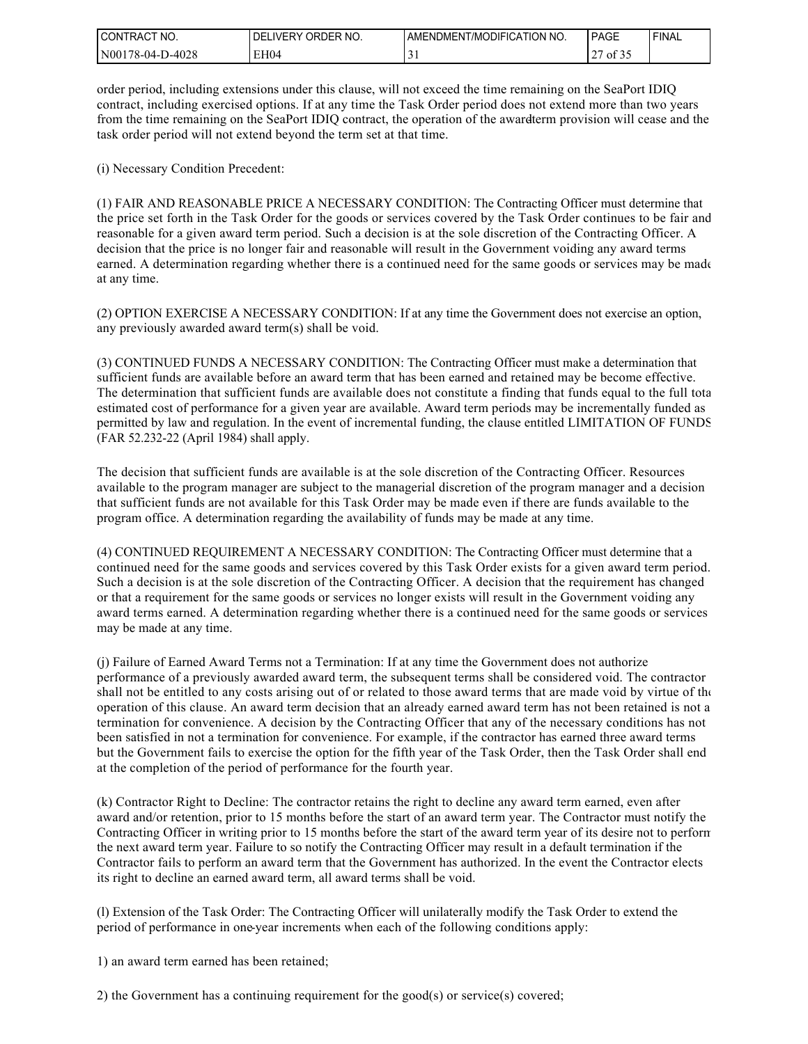| I CONTRACT NO.   | DELIVERY ORDER NO. | AMENDMENT/MODIFICATION NO. | PAGE  | <b>FINAL</b> |
|------------------|--------------------|----------------------------|-------|--------------|
| N00178-04-D-4028 | EH04               | ້                          | of 35 |              |

order period, including extensions under this clause, will not exceed the time remaining on the SeaPort IDIQ contract, including exercised options. If at any time the Task Order period does not extend more than two years from the time remaining on the SeaPort IDIQ contract, the operation of the awardterm provision will cease and the task order period will not extend beyond the term set at that time.

(i) Necessary Condition Precedent:

(1) FAIR AND REASONABLE PRICE A NECESSARY CONDITION: The Contracting Officer must determine that the price set forth in the Task Order for the goods or services covered by the Task Order continues to be fair and reasonable for a given award term period. Such a decision is at the sole discretion of the Contracting Officer. A decision that the price is no longer fair and reasonable will result in the Government voiding any award terms earned. A determination regarding whether there is a continued need for the same goods or services may be made at any time.

(2) OPTION EXERCISE A NECESSARY CONDITION: If at any time the Government does not exercise an option, any previously awarded award term(s) shall be void.

(3) CONTINUED FUNDS A NECESSARY CONDITION: The Contracting Officer must make a determination that sufficient funds are available before an award term that has been earned and retained may be become effective. The determination that sufficient funds are available does not constitute a finding that funds equal to the full total estimated cost of performance for a given year are available. Award term periods may be incrementally funded as permitted by law and regulation. In the event of incremental funding, the clause entitled LIMITATION OF FUNDS (FAR 52.232-22 (April 1984) shall apply.

The decision that sufficient funds are available is at the sole discretion of the Contracting Officer. Resources available to the program manager are subject to the managerial discretion of the program manager and a decision that sufficient funds are not available for this Task Order may be made even if there are funds available to the program office. A determination regarding the availability of funds may be made at any time.

(4) CONTINUED REQUIREMENT A NECESSARY CONDITION: The Contracting Officer must determine that a continued need for the same goods and services covered by this Task Order exists for a given award term period. Such a decision is at the sole discretion of the Contracting Officer. A decision that the requirement has changed or that a requirement for the same goods or services no longer exists will result in the Government voiding any award terms earned. A determination regarding whether there is a continued need for the same goods or services may be made at any time.

(j) Failure of Earned Award Terms not a Termination: If at any time the Government does not authorize performance of a previously awarded award term, the subsequent terms shall be considered void. The contractor shall not be entitled to any costs arising out of or related to those award terms that are made void by virtue of the operation of this clause. An award term decision that an already earned award term has not been retained is not a termination for convenience. A decision by the Contracting Officer that any of the necessary conditions has not been satisfied in not a termination for convenience. For example, if the contractor has earned three award terms but the Government fails to exercise the option for the fifth year of the Task Order, then the Task Order shall end at the completion of the period of performance for the fourth year.

(k) Contractor Right to Decline: The contractor retains the right to decline any award term earned, even after award and/or retention, prior to 15 months before the start of an award term year. The Contractor must notify the Contracting Officer in writing prior to 15 months before the start of the award term year of its desire not to perform the next award term year. Failure to so notify the Contracting Officer may result in a default termination if the Contractor fails to perform an award term that the Government has authorized. In the event the Contractor elects its right to decline an earned award term, all award terms shall be void.

(l) Extension of the Task Order: The Contracting Officer will unilaterally modify the Task Order to extend the period of performance in one-year increments when each of the following conditions apply:

1) an award term earned has been retained;

2) the Government has a continuing requirement for the good(s) or service(s) covered;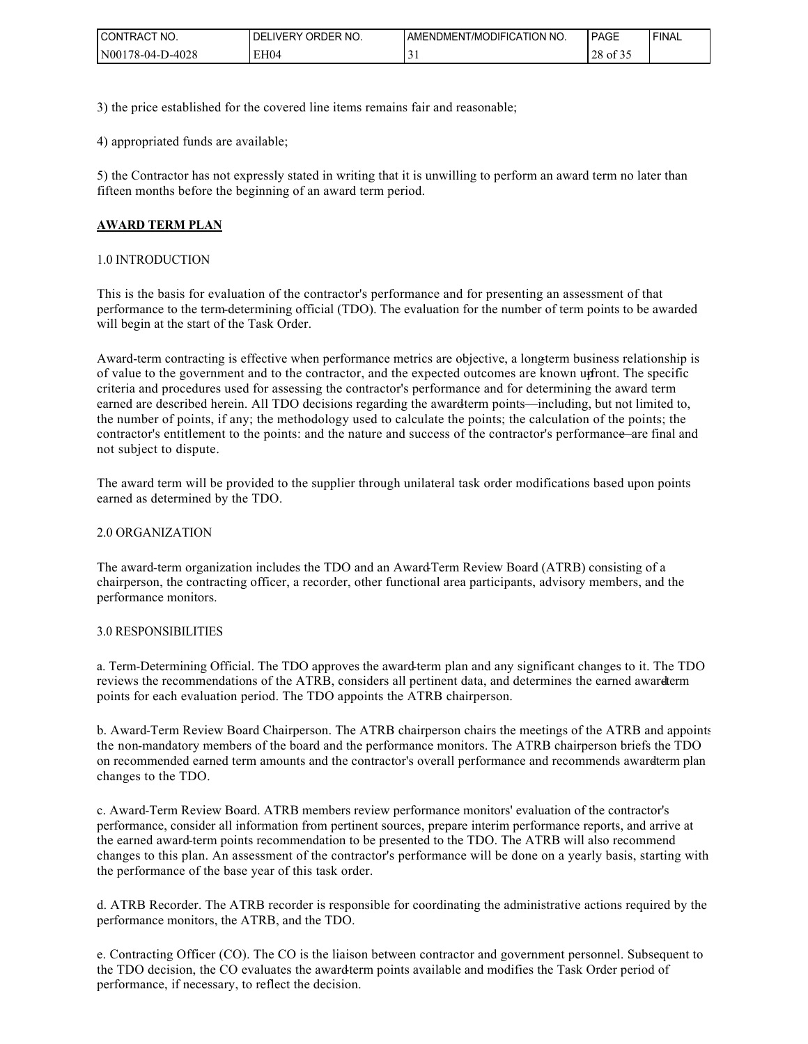| I CONTRACT NO.   | ORDER NO.<br>DEL<br>LIVERY | AMENDMENT/MODIFICATION NO. | PAGE                                   | ' FINAL |
|------------------|----------------------------|----------------------------|----------------------------------------|---------|
| N00178-04-D-4028 | EH04                       |                            | $\sim$ $\sim$ $\sim$<br>ററ<br>28 of 35 |         |

3) the price established for the covered line items remains fair and reasonable;

4) appropriated funds are available;

5) the Contractor has not expressly stated in writing that it is unwilling to perform an award term no later than fifteen months before the beginning of an award term period.

#### **AWARD TERM PLAN**

#### 1.0 INTRODUCTION

This is the basis for evaluation of the contractor's performance and for presenting an assessment of that performance to the term-determining official (TDO). The evaluation for the number of term points to be awarded will begin at the start of the Task Order.

Award-term contracting is effective when performance metrics are objective, a longterm business relationship is of value to the government and to the contractor, and the expected outcomes are known upfront. The specific criteria and procedures used for assessing the contractor's performance and for determining the award term earned are described herein. All TDO decisions regarding the awardterm points—including, but not limited to, the number of points, if any; the methodology used to calculate the points; the calculation of the points; the contractor's entitlement to the points: and the nature and success of the contractor's performance—are final and not subject to dispute.

The award term will be provided to the supplier through unilateral task order modifications based upon points earned as determined by the TDO.

#### 2.0 ORGANIZATION

The award-term organization includes the TDO and an Award-Term Review Board (ATRB) consisting of a chairperson, the contracting officer, a recorder, other functional area participants, advisory members, and the performance monitors.

#### 3.0 RESPONSIBILITIES

a. Term-Determining Official. The TDO approves the award-term plan and any significant changes to it. The TDO reviews the recommendations of the ATRB, considers all pertinent data, and determines the earned awarderm points for each evaluation period. The TDO appoints the ATRB chairperson.

b. Award-Term Review Board Chairperson. The ATRB chairperson chairs the meetings of the ATRB and appoints the non-mandatory members of the board and the performance monitors. The ATRB chairperson briefs the TDO on recommended earned term amounts and the contractor's overall performance and recommends awardterm plan changes to the TDO.

c. Award-Term Review Board. ATRB members review performance monitors' evaluation of the contractor's performance, consider all information from pertinent sources, prepare interim performance reports, and arrive at the earned award-term points recommendation to be presented to the TDO. The ATRB will also recommend changes to this plan. An assessment of the contractor's performance will be done on a yearly basis, starting with the performance of the base year of this task order.

d. ATRB Recorder. The ATRB recorder is responsible for coordinating the administrative actions required by the performance monitors, the ATRB, and the TDO.

e. Contracting Officer (CO). The CO is the liaison between contractor and government personnel. Subsequent to the TDO decision, the CO evaluates the award-term points available and modifies the Task Order period of performance, if necessary, to reflect the decision.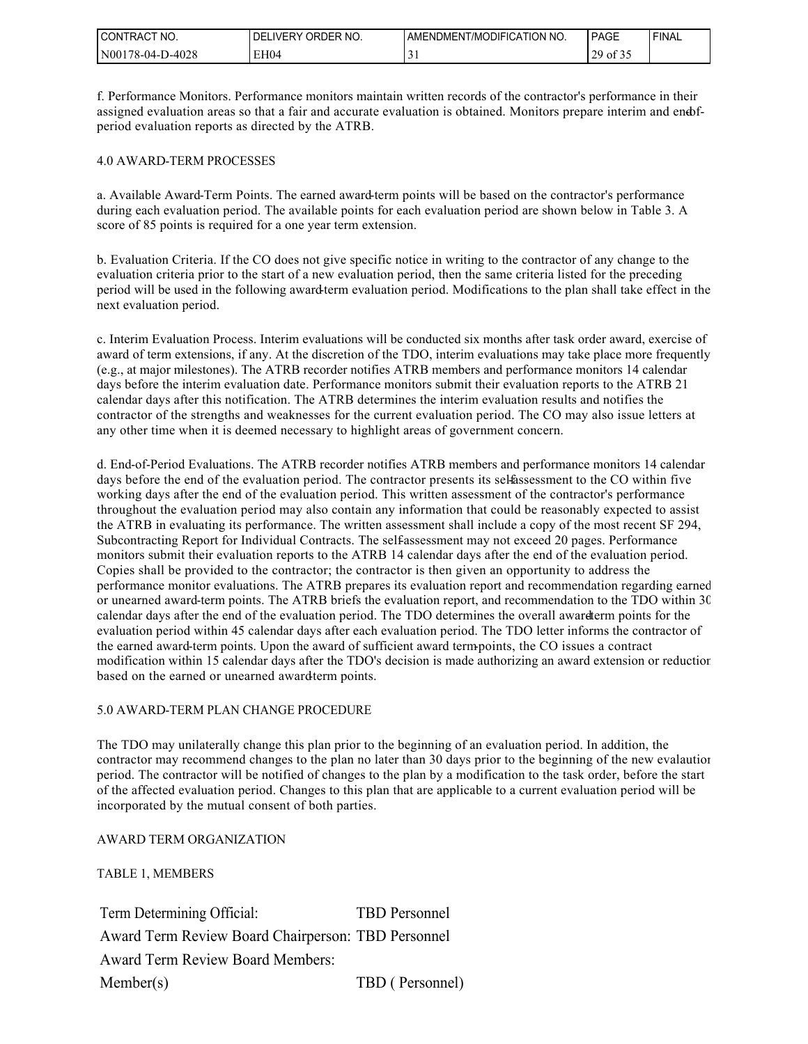| CT NO.<br><b>CONTRACT</b> | ORDER NO.<br><b>DELIVERY</b> | I AMENDMENT/MODIFICATION NO. | PAGE                | <b>FINAL</b> |
|---------------------------|------------------------------|------------------------------|---------------------|--------------|
| N00178-04-D-4028          | EH04                         | ◡                            | $129 \text{ of } z$ |              |

f. Performance Monitors. Performance monitors maintain written records of the contractor's performance in their assigned evaluation areas so that a fair and accurate evaluation is obtained. Monitors prepare interim and endperiod evaluation reports as directed by the ATRB.

#### 4.0 AWARD-TERM PROCESSES

a. Available Award-Term Points. The earned award-term points will be based on the contractor's performance during each evaluation period. The available points for each evaluation period are shown below in Table 3. A score of 85 points is required for a one year term extension.

b. Evaluation Criteria. If the CO does not give specific notice in writing to the contractor of any change to the evaluation criteria prior to the start of a new evaluation period, then the same criteria listed for the preceding period will be used in the following award-term evaluation period. Modifications to the plan shall take effect in the next evaluation period.

c. Interim Evaluation Process. Interim evaluations will be conducted six months after task order award, exercise of award of term extensions, if any. At the discretion of the TDO, interim evaluations may take place more frequently (e.g., at major milestones). The ATRB recorder notifies ATRB members and performance monitors 14 calendar days before the interim evaluation date. Performance monitors submit their evaluation reports to the ATRB 21 calendar days after this notification. The ATRB determines the interim evaluation results and notifies the contractor of the strengths and weaknesses for the current evaluation period. The CO may also issue letters at any other time when it is deemed necessary to highlight areas of government concern.

d. End-of-Period Evaluations. The ATRB recorder notifies ATRB members and performance monitors 14 calendar days before the end of the evaluation period. The contractor presents its selfassessment to the CO within five working days after the end of the evaluation period. This written assessment of the contractor's performance throughout the evaluation period may also contain any information that could be reasonably expected to assist the ATRB in evaluating its performance. The written assessment shall include a copy of the most recent SF 294, Subcontracting Report for Individual Contracts. The self-assessment may not exceed 20 pages. Performance monitors submit their evaluation reports to the ATRB 14 calendar days after the end of the evaluation period. Copies shall be provided to the contractor; the contractor is then given an opportunity to address the performance monitor evaluations. The ATRB prepares its evaluation report and recommendation regarding earned or unearned award-term points. The ATRB briefs the evaluation report, and recommendation to the TDO within 30 calendar days after the end of the evaluation period. The TDO determines the overall award-term points for the evaluation period within 45 calendar days after each evaluation period. The TDO letter informs the contractor of the earned award-term points. Upon the award of sufficient award term-points, the CO issues a contract modification within 15 calendar days after the TDO's decision is made authorizing an award extension or reduction based on the earned or unearned award-term points.

#### 5.0 AWARD-TERM PLAN CHANGE PROCEDURE

The TDO may unilaterally change this plan prior to the beginning of an evaluation period. In addition, the contractor may recommend changes to the plan no later than 30 days prior to the beginning of the new evalaution period. The contractor will be notified of changes to the plan by a modification to the task order, before the start of the affected evaluation period. Changes to this plan that are applicable to a current evaluation period will be incorporated by the mutual consent of both parties.

#### AWARD TERM ORGANIZATION

TABLE 1, MEMBERS

Term Determining Official: TBD Personnel Award Term Review Board Chairperson: TBD Personnel Award Term Review Board Members: Member(s) TBD ( Personnel)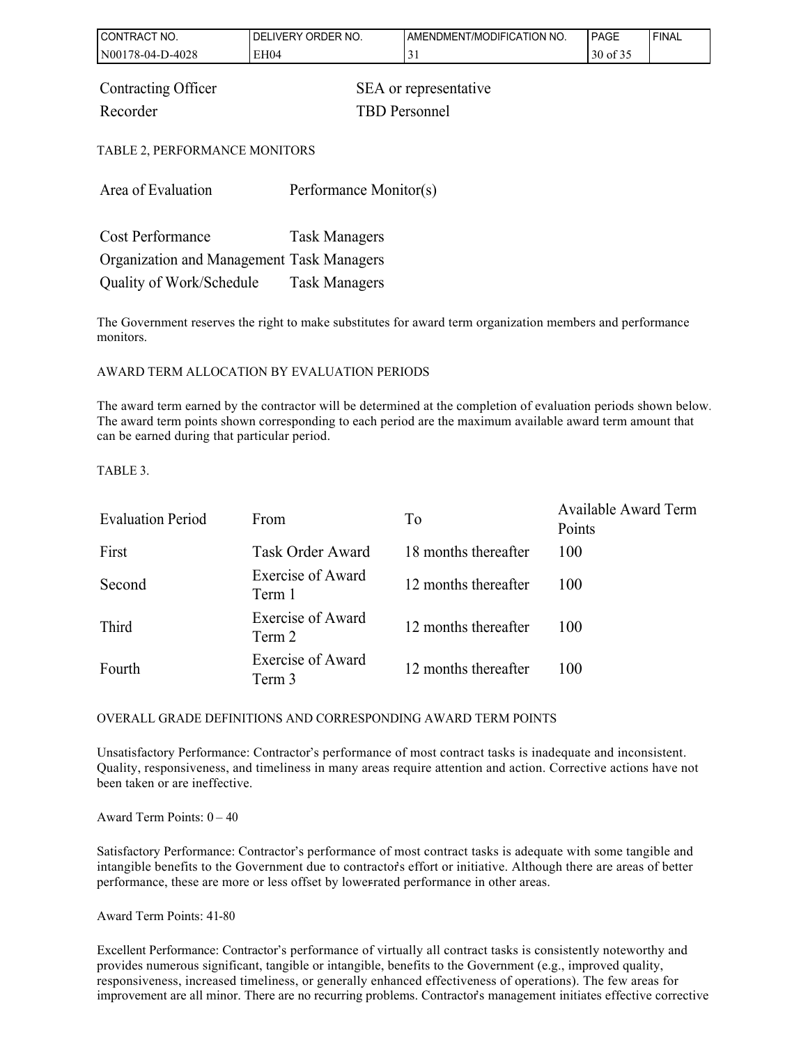| CONTRACT NO.                                                                     | DELIVERY ORDER NO.     | AMENDMENT/MODIFICATION NO. | <b>PAGE</b> | <b>FINAL</b> |
|----------------------------------------------------------------------------------|------------------------|----------------------------|-------------|--------------|
| N00178-04-D-4028                                                                 | EH04                   | 31                         | 30 of 35    |              |
| Contracting Officer<br>SEA or representative<br><b>TBD</b> Personnel<br>Recorder |                        |                            |             |              |
| TABLE 2, PERFORMANCE MONITORS                                                    |                        |                            |             |              |
| Area of Evaluation                                                               | Performance Monitor(s) |                            |             |              |
| <b>Cost Performance</b>                                                          | <b>Task Managers</b>   |                            |             |              |
| Organization and Management Task Managers                                        |                        |                            |             |              |

The Government reserves the right to make substitutes for award term organization members and performance monitors.

#### AWARD TERM ALLOCATION BY EVALUATION PERIODS

Quality of Work/Schedule Task Managers

The award term earned by the contractor will be determined at the completion of evaluation periods shown below. The award term points shown corresponding to each period are the maximum available award term amount that can be earned during that particular period.

TABLE 3.

| <b>Evaluation Period</b> | From                               | To                   | Available Award Term<br>Points |
|--------------------------|------------------------------------|----------------------|--------------------------------|
| First                    | <b>Task Order Award</b>            | 18 months thereafter | 100                            |
| Second                   | Exercise of Award<br>Term 1        | 12 months thereafter | 100                            |
| Third                    | Exercise of Award<br>Term 2        | 12 months thereafter | 100                            |
| Fourth                   | <b>Exercise of Award</b><br>Term 3 | 12 months thereafter | 100                            |

#### OVERALL GRADE DEFINITIONS AND CORRESPONDING AWARD TERM POINTS

Unsatisfactory Performance: Contractor's performance of most contract tasks is inadequate and inconsistent. Quality, responsiveness, and timeliness in many areas require attention and action. Corrective actions have not been taken or are ineffective.

Award Term Points:  $0 - 40$ 

Satisfactory Performance: Contractor's performance of most contract tasks is adequate with some tangible and intangible benefits to the Government due to contractor's effort or initiative. Although there are areas of better performance, these are more or less offset by lower-rated performance in other areas.

Award Term Points: 41-80

Excellent Performance: Contractor's performance of virtually all contract tasks is consistently noteworthy and provides numerous significant, tangible or intangible, benefits to the Government (e.g., improved quality, responsiveness, increased timeliness, or generally enhanced effectiveness of operations). The few areas for improvement are all minor. There are no recurring problems. Contractor's management initiates effective corrective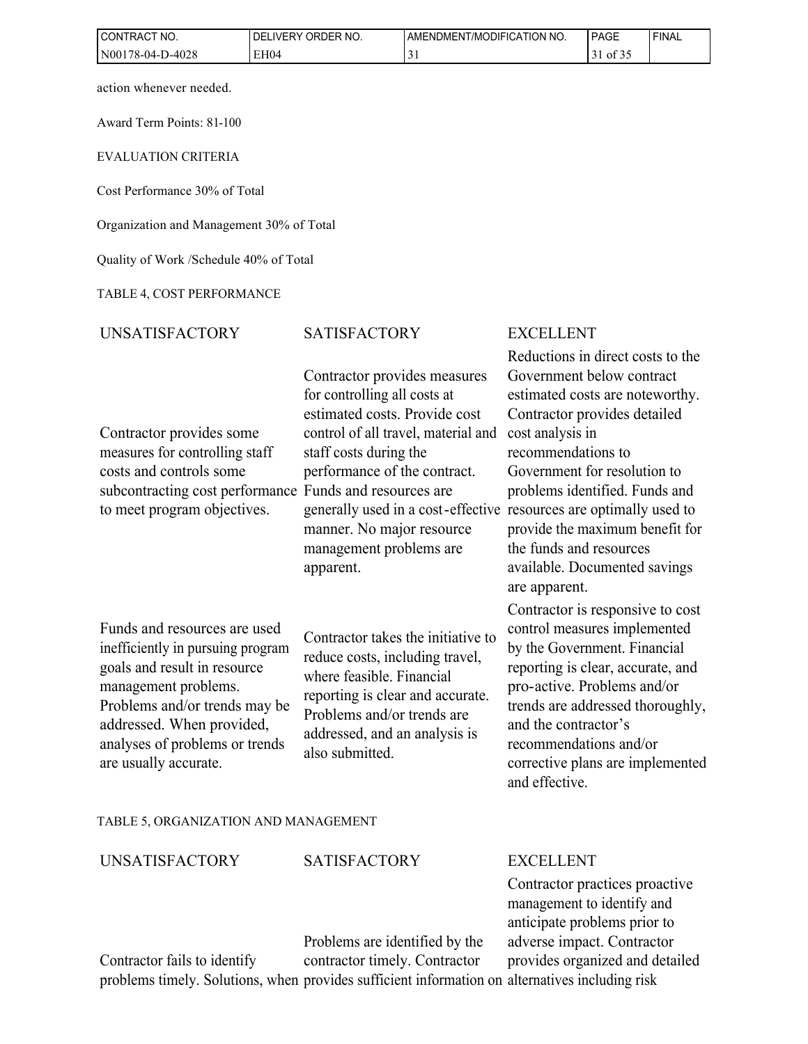| CONTRACT NO.     | ORDER NO.<br><b>DELIVERY</b> | AMENDMENT/MODIFICATION NO. | PAGE     | 'FINAL |
|------------------|------------------------------|----------------------------|----------|--------|
| N00178-04-D-4028 | EH <sub>04</sub>             |                            | 0 $1.32$ |        |

action whenever needed.

Award Term Points: 81-100

EVALUATION CRITERIA

Cost Performance 30% of Total

Organization and Management 30% of Total

Quality of Work /Schedule 40% of Total

TABLE 4, COST PERFORMANCE

# SATISFACTORY EXCELLENT

Contractor provides some measures for controlling staff costs and controls some subcontracting cost performance Funds and resources are to meet program objectives.

for controlling all costs at estimated costs. Provide cost control of all travel, material and staff costs during the performance of the contract. generally used in a cost-effective resources are optimally used to manner. No major resource management problems are apparent.

Contractor provides measures

Funds and resources are used inefficiently in pursuing program goals and result in resource management problems. Problems and/or trends may be addressed. When provided, analyses of problems or trends are usually accurate.

Contractor takes the initiative to reduce costs, including travel, where feasible. Financial reporting is clear and accurate. Problems and/or trends are addressed, and an analysis is also submitted.

Reductions in direct costs to the Government below contract estimated costs are noteworthy. Contractor provides detailed cost analysis in recommendations to Government for resolution to problems identified. Funds and provide the maximum benefit for the funds and resources available. Documented savings are apparent.

Contractor is responsive to cost control measures implemented by the Government. Financial reporting is clear, accurate, and pro-active. Problems and/or trends are addressed thoroughly, and the contractor's recommendations and/or corrective plans are implemented and effective.

TABLE 5, ORGANIZATION AND MANAGEMENT

| <b>UNSATISFACTORY</b> | <b>SATISFACTORY</b>            | <b>EXCELLENT</b>                                             |
|-----------------------|--------------------------------|--------------------------------------------------------------|
|                       |                                | Contractor practices proactive<br>management to identify and |
|                       |                                | anticipate problems prior to                                 |
|                       | Problems are identified by the | adverse impact. Contractor                                   |
|                       |                                |                                                              |

Contractor fails to identify problems timely. Solutions, when provides sufficient information on alternatives including risk contractor timely. Contractor provides organized and detailed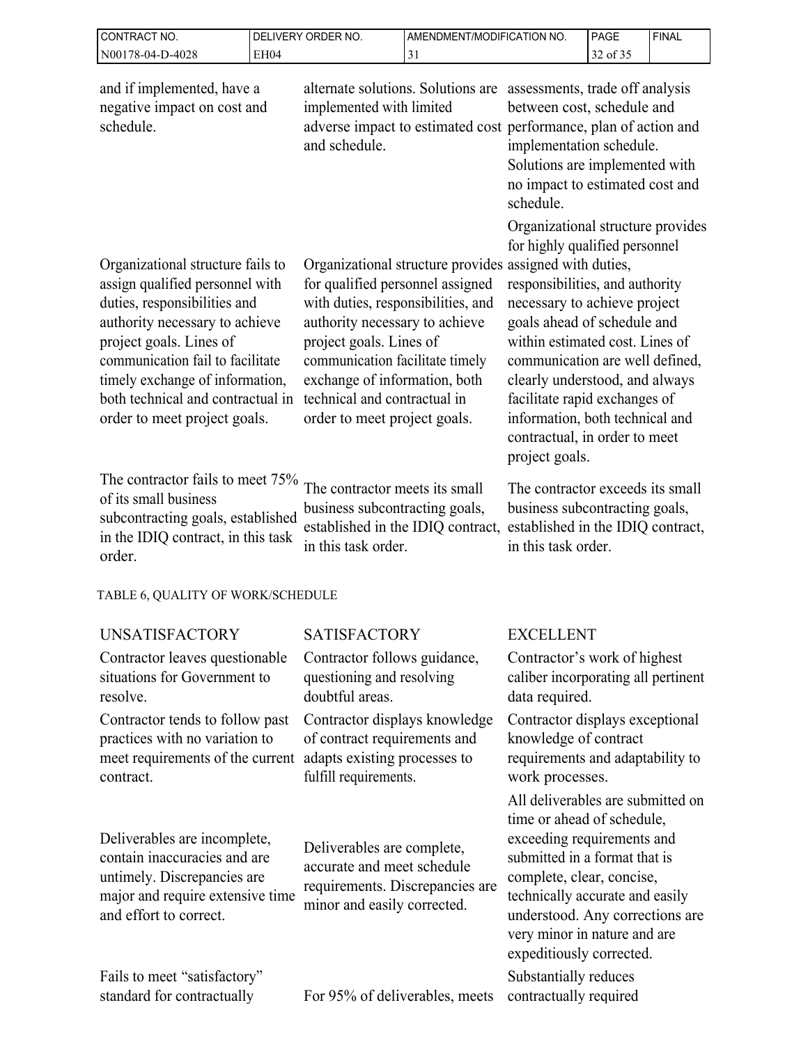| CONTRACT NO.<br>DELIVERY ORDER NO.                                                                                                                                                                                                                                                                            |             |                                                                                                                                                                                                                                                                                                                                    | AMENDMENT/MODIFICATION NO. |                                                                                                                                                                                                                                                                                                                                                                                                      | <b>PAGE</b> | <b>FINAL</b> |
|---------------------------------------------------------------------------------------------------------------------------------------------------------------------------------------------------------------------------------------------------------------------------------------------------------------|-------------|------------------------------------------------------------------------------------------------------------------------------------------------------------------------------------------------------------------------------------------------------------------------------------------------------------------------------------|----------------------------|------------------------------------------------------------------------------------------------------------------------------------------------------------------------------------------------------------------------------------------------------------------------------------------------------------------------------------------------------------------------------------------------------|-------------|--------------|
| N00178-04-D-4028                                                                                                                                                                                                                                                                                              | <b>EH04</b> |                                                                                                                                                                                                                                                                                                                                    | 31                         |                                                                                                                                                                                                                                                                                                                                                                                                      | 32 of 35    |              |
| and if implemented, have a<br>negative impact on cost and<br>schedule.                                                                                                                                                                                                                                        |             | alternate solutions. Solutions are assessments, trade off analysis<br>implemented with limited<br>adverse impact to estimated cost performance, plan of action and<br>and schedule.                                                                                                                                                |                            | between cost, schedule and<br>implementation schedule.<br>Solutions are implemented with<br>no impact to estimated cost and<br>schedule.                                                                                                                                                                                                                                                             |             |              |
| Organizational structure fails to<br>assign qualified personnel with<br>duties, responsibilities and<br>authority necessary to achieve<br>project goals. Lines of<br>communication fail to facilitate<br>timely exchange of information,<br>both technical and contractual in<br>order to meet project goals. |             | Organizational structure provides assigned with duties,<br>for qualified personnel assigned<br>with duties, responsibilities, and<br>authority necessary to achieve<br>project goals. Lines of<br>communication facilitate timely<br>exchange of information, both<br>technical and contractual in<br>order to meet project goals. |                            | Organizational structure provides<br>for highly qualified personnel<br>responsibilities, and authority<br>necessary to achieve project<br>goals ahead of schedule and<br>within estimated cost. Lines of<br>communication are well defined,<br>clearly understood, and always<br>facilitate rapid exchanges of<br>information, both technical and<br>contractual, in order to meet<br>project goals. |             |              |
| The contractor fails to meet 75%<br>of its small business<br>subcontracting goals, established<br>in the IDIQ contract, in this task<br>order.                                                                                                                                                                |             | The contractor meets its small<br>business subcontracting goals,<br>established in the IDIQ contract,<br>in this task order.                                                                                                                                                                                                       |                            | The contractor exceeds its small<br>business subcontracting goals,<br>established in the IDIQ contract,<br>in this task order.                                                                                                                                                                                                                                                                       |             |              |
| TABLE 6, QUALITY OF WORK/SCHEDULE                                                                                                                                                                                                                                                                             |             |                                                                                                                                                                                                                                                                                                                                    |                            |                                                                                                                                                                                                                                                                                                                                                                                                      |             |              |
| <b>UNSATISFACTORY</b>                                                                                                                                                                                                                                                                                         |             | <b>SATISFACTORY</b>                                                                                                                                                                                                                                                                                                                |                            | <b>EXCELLENT</b>                                                                                                                                                                                                                                                                                                                                                                                     |             |              |
| Contractor leaves questionable<br>situations for Government to<br>resolve.                                                                                                                                                                                                                                    |             | Contractor follows guidance,<br>questioning and resolving<br>doubtful areas.                                                                                                                                                                                                                                                       |                            | Contractor's work of highest<br>caliber incorporating all pertinent<br>data required.                                                                                                                                                                                                                                                                                                                |             |              |
| Contractor tends to follow past<br>practices with no variation to<br>meet requirements of the current<br>contract.                                                                                                                                                                                            |             | Contractor displays knowledge<br>of contract requirements and<br>adapts existing processes to<br>fulfill requirements.                                                                                                                                                                                                             |                            | Contractor displays exceptional<br>knowledge of contract<br>requirements and adaptability to<br>work processes.<br>All deliverables are submitted on<br>time or ahead of schedule,                                                                                                                                                                                                                   |             |              |
| Deliverables are incomplete,<br>contain inaccuracies and are<br>untimely. Discrepancies are<br>major and require extensive time<br>and effort to correct.                                                                                                                                                     |             | Deliverables are complete,<br>accurate and meet schedule<br>requirements. Discrepancies are<br>minor and easily corrected.                                                                                                                                                                                                         |                            | exceeding requirements and<br>submitted in a format that is<br>complete, clear, concise,<br>technically accurate and easily<br>understood. Any corrections are<br>very minor in nature and are<br>expeditiously corrected.                                                                                                                                                                           |             |              |
| Fails to meet "satisfactory"<br>standard for contractually                                                                                                                                                                                                                                                    |             | For 95% of deliverables, meets                                                                                                                                                                                                                                                                                                     |                            | Substantially reduces<br>contractually required                                                                                                                                                                                                                                                                                                                                                      |             |              |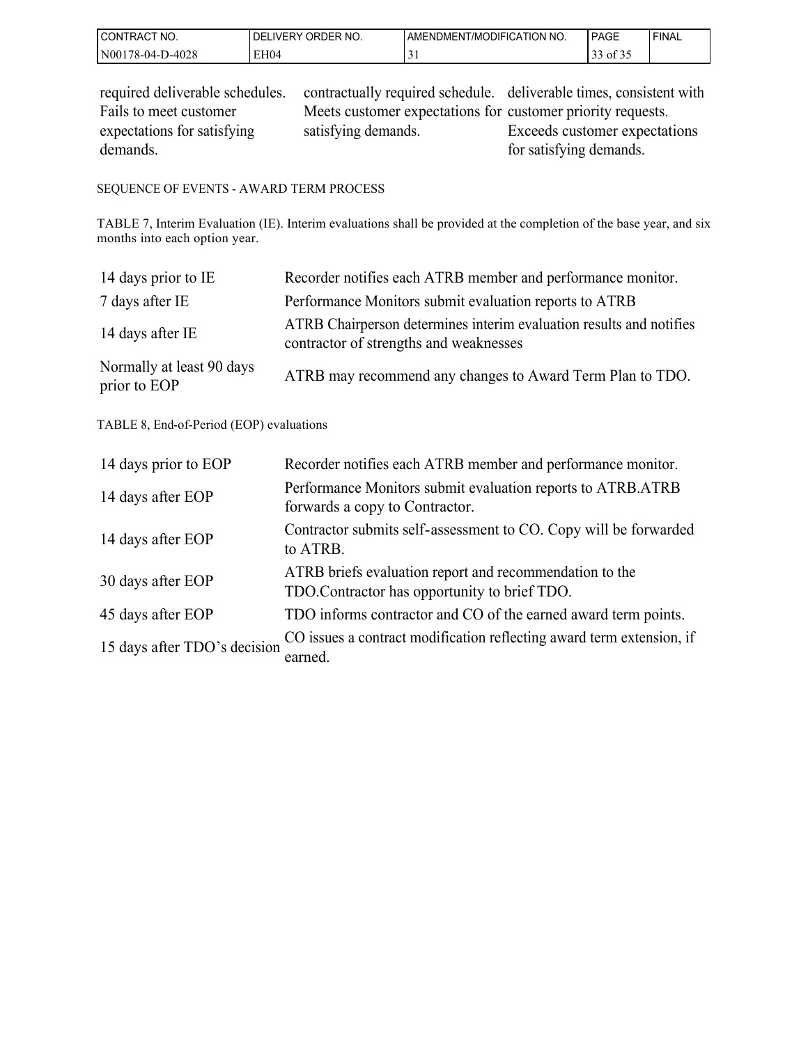| CONTRACT NO.     | ORDER NO.<br><b>DELIVERY</b> | AMENDMENT/MODIFICATION NO. | PAGE                                            | ' FINAL |
|------------------|------------------------------|----------------------------|-------------------------------------------------|---------|
| N00178-04-D-4028 | EH04                         | ◡                          | $\sim$ $\sim$ $\sim$<br>$\rightarrow$ 0.1 of 5. |         |

| required deliverable schedules. | contractually required schedule. deliverable times, consistent with |                               |
|---------------------------------|---------------------------------------------------------------------|-------------------------------|
| Fails to meet customer          | Meets customer expectations for customer priority requests.         |                               |
| expectations for satisfying     | satisfying demands.                                                 | Exceeds customer expectations |
| demands.                        |                                                                     | for satisfying demands.       |

### SEQUENCE OF EVENTS - AWARD TERM PROCESS

TABLE 7, Interim Evaluation (IE). Interim evaluations shall be provided at the completion of the base year, and six months into each option year.

| 14 days prior to IE                       | Recorder notifies each ATRB member and performance monitor.                                                   |
|-------------------------------------------|---------------------------------------------------------------------------------------------------------------|
| 7 days after IE                           | Performance Monitors submit evaluation reports to ATRB                                                        |
| 14 days after IE                          | ATRB Chairperson determines interim evaluation results and notifies<br>contractor of strengths and weaknesses |
| Normally at least 90 days<br>prior to EOP | ATRB may recommend any changes to Award Term Plan to TDO.                                                     |

#### TABLE 8, End-of-Period (EOP) evaluations

| 14 days prior to EOP         | Recorder notifies each ATRB member and performance monitor.                                              |
|------------------------------|----------------------------------------------------------------------------------------------------------|
| 14 days after EOP            | Performance Monitors submit evaluation reports to ATRB.ATRB<br>forwards a copy to Contractor.            |
| 14 days after EOP            | Contractor submits self-assessment to CO. Copy will be forwarded<br>to ATRB.                             |
| 30 days after EOP            | ATRB briefs evaluation report and recommendation to the<br>TDO. Contractor has opportunity to brief TDO. |
| 45 days after EOP            | TDO informs contractor and CO of the earned award term points.                                           |
| 15 days after TDO's decision | CO issues a contract modification reflecting award term extension, if<br>earned.                         |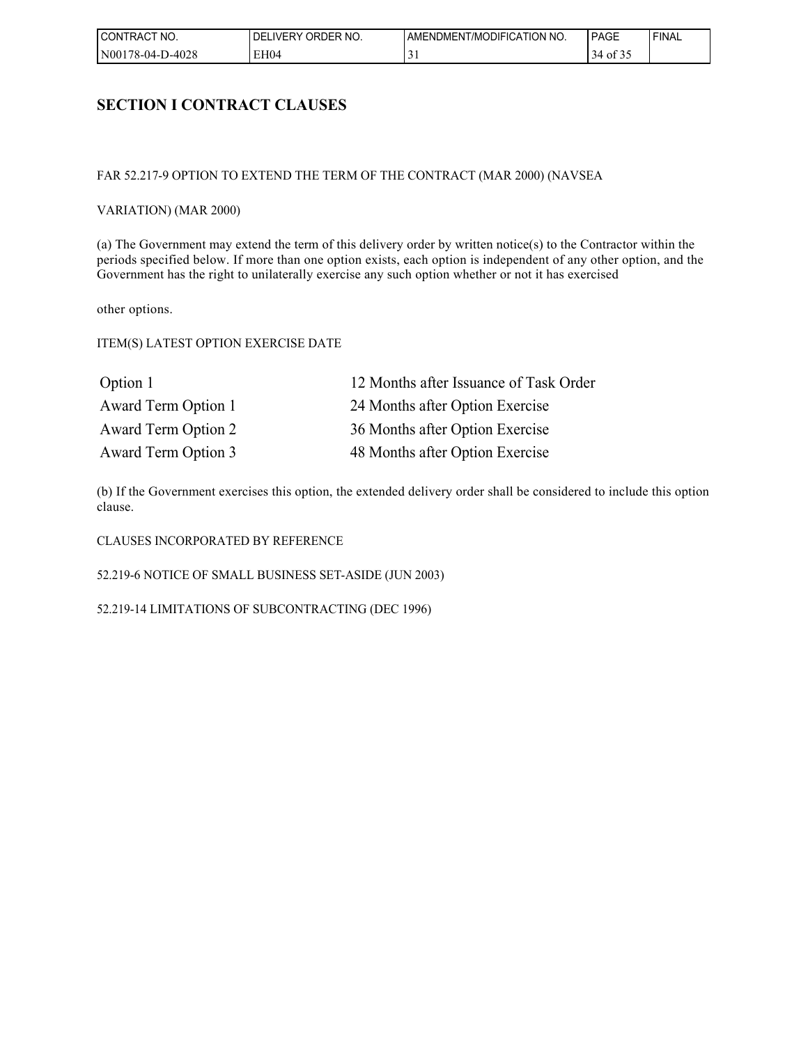| I CONTRACT<br>NO. | ORDER NO.<br><b>DELIVERY</b> | AMENDMENT/MODIFICATION NO. | PAGE          | ' FINAL |
|-------------------|------------------------------|----------------------------|---------------|---------|
| N00178-04-D-4028  | EH04                         | <u>ب</u>                   | $134$ of $32$ |         |

## **SECTION I CONTRACT CLAUSES**

#### FAR 52.217-9 OPTION TO EXTEND THE TERM OF THE CONTRACT (MAR 2000) (NAVSEA

#### VARIATION) (MAR 2000)

(a) The Government may extend the term of this delivery order by written notice(s) to the Contractor within the periods specified below. If more than one option exists, each option is independent of any other option, and the Government has the right to unilaterally exercise any such option whether or not it has exercised

other options.

#### ITEM(S) LATEST OPTION EXERCISE DATE

| Option 1            | 12 Months after Issuance of Task Order |
|---------------------|----------------------------------------|
| Award Term Option 1 | 24 Months after Option Exercise        |
| Award Term Option 2 | 36 Months after Option Exercise        |
| Award Term Option 3 | 48 Months after Option Exercise        |

(b) If the Government exercises this option, the extended delivery order shall be considered to include this option clause.

#### CLAUSES INCORPORATED BY REFERENCE

52.219-6 NOTICE OF SMALL BUSINESS SET-ASIDE (JUN 2003)

52.219-14 LIMITATIONS OF SUBCONTRACTING (DEC 1996)